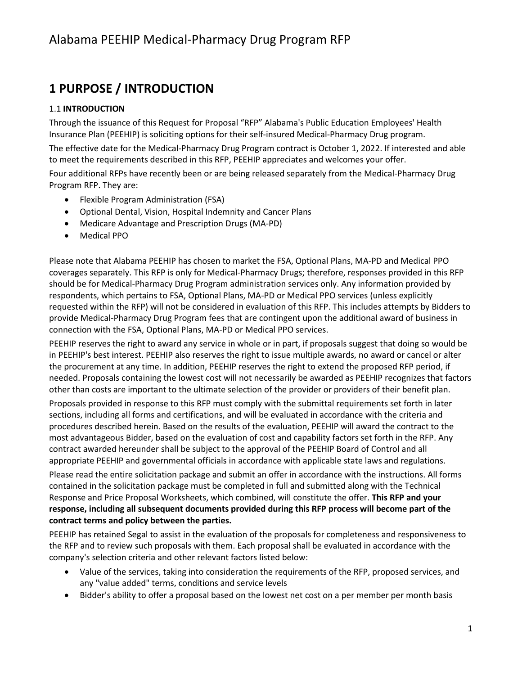## **1 PURPOSE / INTRODUCTION**

#### 1.1 **INTRODUCTION**

Through the issuance of this Request for Proposal "RFP" Alabama's Public Education Employees' Health Insurance Plan (PEEHIP) is soliciting options for their self-insured Medical-Pharmacy Drug program.

The effective date for the Medical-Pharmacy Drug Program contract is October 1, 2022. If interested and able to meet the requirements described in this RFP, PEEHIP appreciates and welcomes your offer.

Four additional RFPs have recently been or are being released separately from the Medical-Pharmacy Drug Program RFP. They are:

- Flexible Program Administration (FSA)
- Optional Dental, Vision, Hospital Indemnity and Cancer Plans
- Medicare Advantage and Prescription Drugs (MA-PD)
- Medical PPO

Please note that Alabama PEEHIP has chosen to market the FSA, Optional Plans, MA-PD and Medical PPO coverages separately. This RFP is only for Medical-Pharmacy Drugs; therefore, responses provided in this RFP should be for Medical-Pharmacy Drug Program administration services only. Any information provided by respondents, which pertains to FSA, Optional Plans, MA-PD or Medical PPO services (unless explicitly requested within the RFP) will not be considered in evaluation of this RFP. This includes attempts by Bidders to provide Medical-Pharmacy Drug Program fees that are contingent upon the additional award of business in connection with the FSA, Optional Plans, MA-PD or Medical PPO services.

PEEHIP reserves the right to award any service in whole or in part, if proposals suggest that doing so would be in PEEHIP's best interest. PEEHIP also reserves the right to issue multiple awards, no award or cancel or alter the procurement at any time. In addition, PEEHIP reserves the right to extend the proposed RFP period, if needed. Proposals containing the lowest cost will not necessarily be awarded as PEEHIP recognizes that factors other than costs are important to the ultimate selection of the provider or providers of their benefit plan.

Proposals provided in response to this RFP must comply with the submittal requirements set forth in later sections, including all forms and certifications, and will be evaluated in accordance with the criteria and procedures described herein. Based on the results of the evaluation, PEEHIP will award the contract to the most advantageous Bidder, based on the evaluation of cost and capability factors set forth in the RFP. Any contract awarded hereunder shall be subject to the approval of the PEEHIP Board of Control and all appropriate PEEHIP and governmental officials in accordance with applicable state laws and regulations.

Please read the entire solicitation package and submit an offer in accordance with the instructions. All forms contained in the solicitation package must be completed in full and submitted along with the Technical Response and Price Proposal Worksheets, which combined, will constitute the offer. **This RFP and your response, including all subsequent documents provided during this RFP process will become part of the contract terms and policy between the parties.**

PEEHIP has retained Segal to assist in the evaluation of the proposals for completeness and responsiveness to the RFP and to review such proposals with them. Each proposal shall be evaluated in accordance with the company's selection criteria and other relevant factors listed below:

- Value of the services, taking into consideration the requirements of the RFP, proposed services, and any "value added" terms, conditions and service levels
- Bidder's ability to offer a proposal based on the lowest net cost on a per member per month basis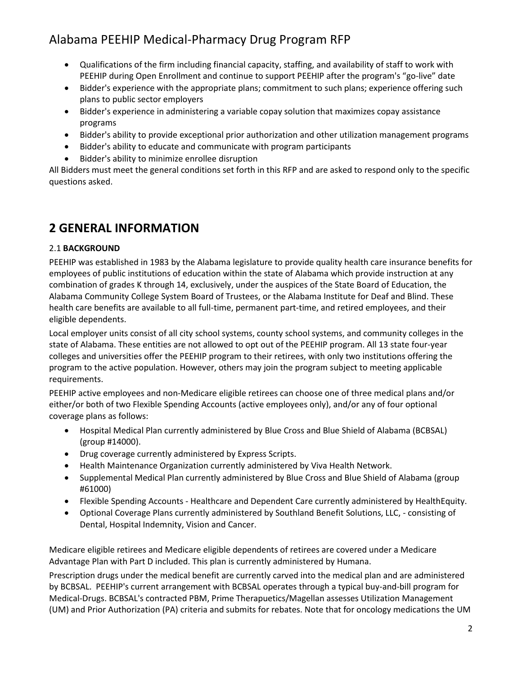- Qualifications of the firm including financial capacity, staffing, and availability of staff to work with PEEHIP during Open Enrollment and continue to support PEEHIP after the program's "go-live" date
- Bidder's experience with the appropriate plans; commitment to such plans; experience offering such plans to public sector employers
- Bidder's experience in administering a variable copay solution that maximizes copay assistance programs
- Bidder's ability to provide exceptional prior authorization and other utilization management programs
- Bidder's ability to educate and communicate with program participants
- Bidder's ability to minimize enrollee disruption

All Bidders must meet the general conditions set forth in this RFP and are asked to respond only to the specific questions asked.

## **2 GENERAL INFORMATION**

#### 2.1 **BACKGROUND**

PEEHIP was established in 1983 by the Alabama legislature to provide quality health care insurance benefits for employees of public institutions of education within the state of Alabama which provide instruction at any combination of grades K through 14, exclusively, under the auspices of the State Board of Education, the Alabama Community College System Board of Trustees, or the Alabama Institute for Deaf and Blind. These health care benefits are available to all full-time, permanent part-time, and retired employees, and their eligible dependents.

Local employer units consist of all city school systems, county school systems, and community colleges in the state of Alabama. These entities are not allowed to opt out of the PEEHIP program. All 13 state four-year colleges and universities offer the PEEHIP program to their retirees, with only two institutions offering the program to the active population. However, others may join the program subject to meeting applicable requirements.

PEEHIP active employees and non-Medicare eligible retirees can choose one of three medical plans and/or either/or both of two Flexible Spending Accounts (active employees only), and/or any of four optional coverage plans as follows:

- Hospital Medical Plan currently administered by Blue Cross and Blue Shield of Alabama (BCBSAL) (group #14000).
- Drug coverage currently administered by Express Scripts.
- Health Maintenance Organization currently administered by Viva Health Network.
- Supplemental Medical Plan currently administered by Blue Cross and Blue Shield of Alabama (group #61000)
- Flexible Spending Accounts Healthcare and Dependent Care currently administered by HealthEquity.
- Optional Coverage Plans currently administered by Southland Benefit Solutions, LLC, consisting of Dental, Hospital Indemnity, Vision and Cancer.

Medicare eligible retirees and Medicare eligible dependents of retirees are covered under a Medicare Advantage Plan with Part D included. This plan is currently administered by Humana.

Prescription drugs under the medical benefit are currently carved into the medical plan and are administered by BCBSAL. PEEHIP's current arrangement with BCBSAL operates through a typical buy-and-bill program for Medical-Drugs. BCBSAL's contracted PBM, Prime Therapuetics/Magellan assesses Utilization Management (UM) and Prior Authorization (PA) criteria and submits for rebates. Note that for oncology medications the UM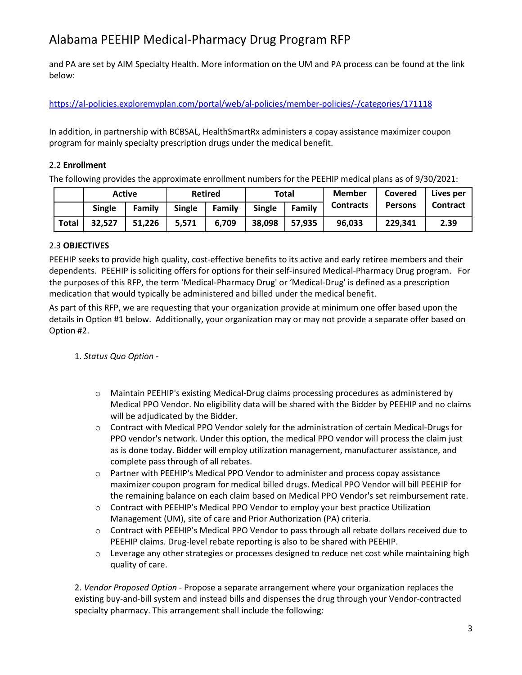and PA are set by AIM Specialty Health. More information on the UM and PA process can be found at the link below:

<https://al-policies.exploremyplan.com/portal/web/al-policies/member-policies/-/categories/171118>

In addition, in partnership with BCBSAL, HealthSmartRx administers a copay assistance maximizer coupon program for mainly specialty prescription drugs under the medical benefit.

#### 2.2 **Enrollment**

The following provides the approximate enrollment numbers for the PEEHIP medical plans as of 9/30/2021:

|              |        | <b>Active</b> |        | <b>Retired</b> |               | Total  | <b>Member</b>    | Covered        | Lives per       |
|--------------|--------|---------------|--------|----------------|---------------|--------|------------------|----------------|-----------------|
|              | Single | Family        | Single | Family         | <b>Single</b> | Family | <b>Contracts</b> | <b>Persons</b> | <b>Contract</b> |
| <b>Total</b> | 32,527 | 51,226        | 5.571  | 6,709          | 38,098        | 57,935 | 96,033           | 229,341        | 2.39            |

#### 2.3 **OBJECTIVES**

PEEHIP seeks to provide high quality, cost-effective benefits to its active and early retiree members and their dependents. PEEHIP is soliciting offers for options for their self-insured Medical-Pharmacy Drug program. For the purposes of this RFP, the term 'Medical-Pharmacy Drug' or 'Medical-Drug' is defined as a prescription medication that would typically be administered and billed under the medical benefit.

As part of this RFP, we are requesting that your organization provide at minimum one offer based upon the details in Option #1 below. Additionally, your organization may or may not provide a separate offer based on Option #2.

#### 1. *Status Quo Option -*

- o Maintain PEEHIP's existing Medical-Drug claims processing procedures as administered by Medical PPO Vendor. No eligibility data will be shared with the Bidder by PEEHIP and no claims will be adjudicated by the Bidder.
- $\circ$  Contract with Medical PPO Vendor solely for the administration of certain Medical-Drugs for PPO vendor's network. Under this option, the medical PPO vendor will process the claim just as is done today. Bidder will employ utilization management, manufacturer assistance, and complete pass through of all rebates.
- o Partner with PEEHIP's Medical PPO Vendor to administer and process copay assistance maximizer coupon program for medical billed drugs. Medical PPO Vendor will bill PEEHIP for the remaining balance on each claim based on Medical PPO Vendor's set reimbursement rate.
- $\circ$  Contract with PEEHIP's Medical PPO Vendor to employ your best practice Utilization Management (UM), site of care and Prior Authorization (PA) criteria.
- o Contract with PEEHIP's Medical PPO Vendor to pass through all rebate dollars received due to PEEHIP claims. Drug-level rebate reporting is also to be shared with PEEHIP.
- $\circ$  Leverage any other strategies or processes designed to reduce net cost while maintaining high quality of care.

2. *Vendor Proposed Option -* Propose a separate arrangement where your organization replaces the existing buy-and-bill system and instead bills and dispenses the drug through your Vendor-contracted specialty pharmacy. This arrangement shall include the following: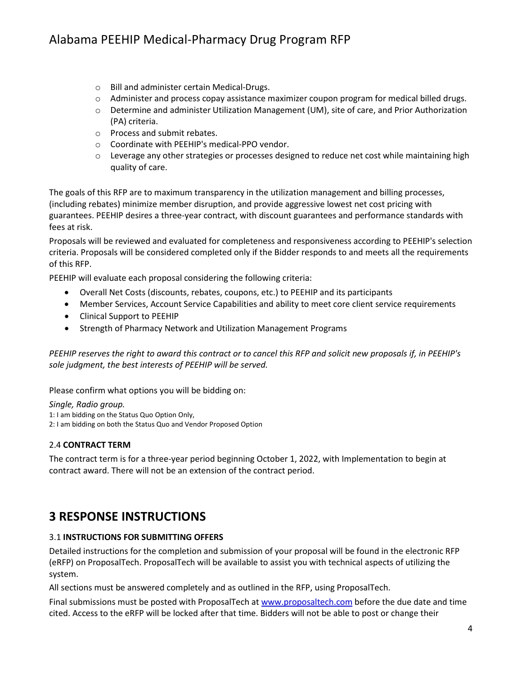- o Bill and administer certain Medical-Drugs.
- o Administer and process copay assistance maximizer coupon program for medical billed drugs.
- o Determine and administer Utilization Management (UM), site of care, and Prior Authorization (PA) criteria.
- o Process and submit rebates.
- o Coordinate with PEEHIP's medical-PPO vendor.
- $\circ$  Leverage any other strategies or processes designed to reduce net cost while maintaining high quality of care.

The goals of this RFP are to maximum transparency in the utilization management and billing processes, (including rebates) minimize member disruption, and provide aggressive lowest net cost pricing with guarantees. PEEHIP desires a three-year contract, with discount guarantees and performance standards with fees at risk.

Proposals will be reviewed and evaluated for completeness and responsiveness according to PEEHIP's selection criteria. Proposals will be considered completed only if the Bidder responds to and meets all the requirements of this RFP.

PEEHIP will evaluate each proposal considering the following criteria:

- Overall Net Costs (discounts, rebates, coupons, etc.) to PEEHIP and its participants
- Member Services, Account Service Capabilities and ability to meet core client service requirements
- Clinical Support to PEEHIP
- Strength of Pharmacy Network and Utilization Management Programs

*PEEHIP reserves the right to award this contract or to cancel this RFP and solicit new proposals if, in PEEHIP's sole judgment, the best interests of PEEHIP will be served.*

Please confirm what options you will be bidding on:

*Single, Radio group.*

1: I am bidding on the Status Quo Option Only,

2: I am bidding on both the Status Quo and Vendor Proposed Option

#### 2.4 **CONTRACT TERM**

The contract term is for a three-year period beginning October 1, 2022, with Implementation to begin at contract award. There will not be an extension of the contract period.

## **3 RESPONSE INSTRUCTIONS**

#### 3.1 **INSTRUCTIONS FOR SUBMITTING OFFERS**

Detailed instructions for the completion and submission of your proposal will be found in the electronic RFP (eRFP) on ProposalTech. ProposalTech will be available to assist you with technical aspects of utilizing the system.

All sections must be answered completely and as outlined in the RFP, using ProposalTech.

Final submissions must be posted with ProposalTech a[t www.proposaltech.com](http://www.proposaltech.com/) before the due date and time cited. Access to the eRFP will be locked after that time. Bidders will not be able to post or change their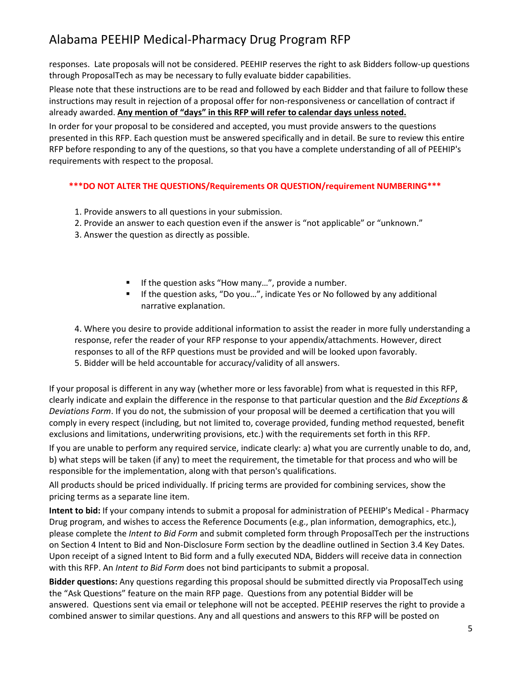responses. Late proposals will not be considered. PEEHIP reserves the right to ask Bidders follow-up questions through ProposalTech as may be necessary to fully evaluate bidder capabilities.

Please note that these instructions are to be read and followed by each Bidder and that failure to follow these instructions may result in rejection of a proposal offer for non-responsiveness or cancellation of contract if already awarded. **Any mention of "days" in this RFP will refer to calendar days unless noted.**

In order for your proposal to be considered and accepted, you must provide answers to the questions presented in this RFP. Each question must be answered specifically and in detail. Be sure to review this entire RFP before responding to any of the questions, so that you have a complete understanding of all of PEEHIP's requirements with respect to the proposal.

**\*\*\*DO NOT ALTER THE QUESTIONS/Requirements OR QUESTION/requirement NUMBERING\*\*\***

- 1. Provide answers to all questions in your submission.
- 2. Provide an answer to each question even if the answer is "not applicable" or "unknown."
- 3. Answer the question as directly as possible.
	- If the question asks "How many...", provide a number.
	- If the question asks, "Do you...", indicate Yes or No followed by any additional narrative explanation.

4. Where you desire to provide additional information to assist the reader in more fully understanding a response, refer the reader of your RFP response to your appendix/attachments. However, direct responses to all of the RFP questions must be provided and will be looked upon favorably. 5. Bidder will be held accountable for accuracy/validity of all answers.

If your proposal is different in any way (whether more or less favorable) from what is requested in this RFP, clearly indicate and explain the difference in the response to that particular question and the *Bid Exceptions & Deviations Form*. If you do not, the submission of your proposal will be deemed a certification that you will comply in every respect (including, but not limited to, coverage provided, funding method requested, benefit exclusions and limitations, underwriting provisions, etc.) with the requirements set forth in this RFP.

If you are unable to perform any required service, indicate clearly: a) what you are currently unable to do, and, b) what steps will be taken (if any) to meet the requirement, the timetable for that process and who will be responsible for the implementation, along with that person's qualifications.

All products should be priced individually. If pricing terms are provided for combining services, show the pricing terms as a separate line item.

**Intent to bid:** If your company intends to submit a proposal for administration of PEEHIP's Medical - Pharmacy Drug program, and wishes to access the Reference Documents (e.g., plan information, demographics, etc.), please complete the *Intent to Bid Form* and submit completed form through ProposalTech per the instructions on Section 4 Intent to Bid and Non-Disclosure Form section by the deadline outlined in Section 3.4 Key Dates. Upon receipt of a signed Intent to Bid form and a fully executed NDA, Bidders will receive data in connection with this RFP. An *Intent to Bid Form* does not bind participants to submit a proposal.

**Bidder questions:** Any questions regarding this proposal should be submitted directly via ProposalTech using the "Ask Questions" feature on the main RFP page. Questions from any potential Bidder will be answered. Questions sent via email or telephone will not be accepted. PEEHIP reserves the right to provide a combined answer to similar questions. Any and all questions and answers to this RFP will be posted on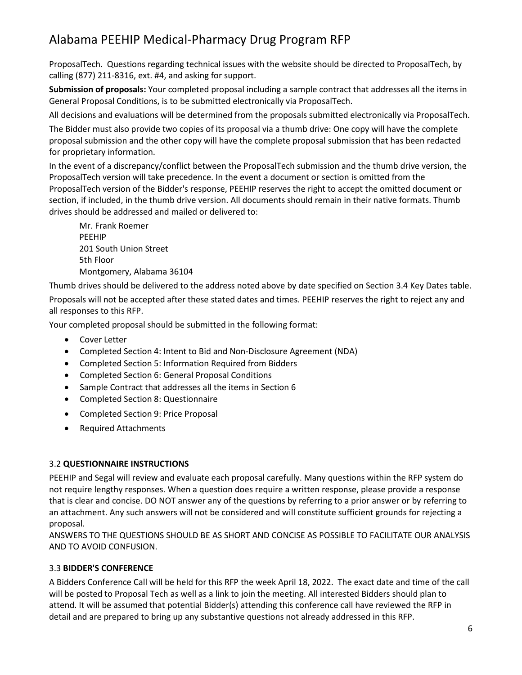ProposalTech. Questions regarding technical issues with the website should be directed to ProposalTech, by calling (877) 211-8316, ext. #4, and asking for support.

**Submission of proposals:** Your completed proposal including a sample contract that addresses all the items in General Proposal Conditions, is to be submitted electronically via ProposalTech.

All decisions and evaluations will be determined from the proposals submitted electronically via ProposalTech.

The Bidder must also provide two copies of its proposal via a thumb drive: One copy will have the complete proposal submission and the other copy will have the complete proposal submission that has been redacted for proprietary information.

In the event of a discrepancy/conflict between the ProposalTech submission and the thumb drive version, the ProposalTech version will take precedence. In the event a document or section is omitted from the ProposalTech version of the Bidder's response, PEEHIP reserves the right to accept the omitted document or section, if included, in the thumb drive version. All documents should remain in their native formats. Thumb drives should be addressed and mailed or delivered to:

Mr. Frank Roemer PEEHIP 201 South Union Street 5th Floor Montgomery, Alabama 36104

Thumb drives should be delivered to the address noted above by date specified on Section 3.4 Key Dates table.

Proposals will not be accepted after these stated dates and times. PEEHIP reserves the right to reject any and all responses to this RFP.

Your completed proposal should be submitted in the following format:

- Cover Letter
- Completed Section 4: Intent to Bid and Non-Disclosure Agreement (NDA)
- Completed Section 5: Information Required from Bidders
- Completed Section 6: General Proposal Conditions
- Sample Contract that addresses all the items in Section 6
- Completed Section 8: Questionnaire
- Completed Section 9: Price Proposal
- Required Attachments

#### 3.2 **QUESTIONNAIRE INSTRUCTIONS**

PEEHIP and Segal will review and evaluate each proposal carefully. Many questions within the RFP system do not require lengthy responses. When a question does require a written response, please provide a response that is clear and concise. DO NOT answer any of the questions by referring to a prior answer or by referring to an attachment. Any such answers will not be considered and will constitute sufficient grounds for rejecting a proposal.

ANSWERS TO THE QUESTIONS SHOULD BE AS SHORT AND CONCISE AS POSSIBLE TO FACILITATE OUR ANALYSIS AND TO AVOID CONFUSION.

#### 3.3 **BIDDER'S CONFERENCE**

A Bidders Conference Call will be held for this RFP the week April 18, 2022. The exact date and time of the call will be posted to Proposal Tech as well as a link to join the meeting. All interested Bidders should plan to attend. It will be assumed that potential Bidder(s) attending this conference call have reviewed the RFP in detail and are prepared to bring up any substantive questions not already addressed in this RFP.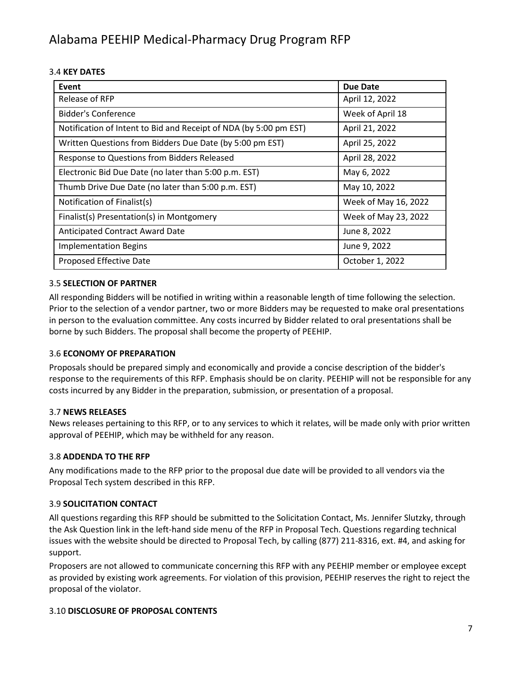#### 3.4 **KEY DATES**

| Event                                                             | <b>Due Date</b>      |
|-------------------------------------------------------------------|----------------------|
| Release of RFP                                                    | April 12, 2022       |
| Bidder's Conference                                               | Week of April 18     |
| Notification of Intent to Bid and Receipt of NDA (by 5:00 pm EST) | April 21, 2022       |
| Written Questions from Bidders Due Date (by 5:00 pm EST)          | April 25, 2022       |
| Response to Questions from Bidders Released                       | April 28, 2022       |
| Electronic Bid Due Date (no later than 5:00 p.m. EST)             | May 6, 2022          |
| Thumb Drive Due Date (no later than 5:00 p.m. EST)                | May 10, 2022         |
| Notification of Finalist(s)                                       | Week of May 16, 2022 |
| Finalist(s) Presentation(s) in Montgomery                         | Week of May 23, 2022 |
| Anticipated Contract Award Date                                   | June 8, 2022         |
| <b>Implementation Begins</b>                                      | June 9, 2022         |
| Proposed Effective Date                                           | October 1, 2022      |

#### 3.5 **SELECTION OF PARTNER**

All responding Bidders will be notified in writing within a reasonable length of time following the selection. Prior to the selection of a vendor partner, two or more Bidders may be requested to make oral presentations in person to the evaluation committee. Any costs incurred by Bidder related to oral presentations shall be borne by such Bidders. The proposal shall become the property of PEEHIP.

#### 3.6 **ECONOMY OF PREPARATION**

Proposals should be prepared simply and economically and provide a concise description of the bidder's response to the requirements of this RFP. Emphasis should be on clarity. PEEHIP will not be responsible for any costs incurred by any Bidder in the preparation, submission, or presentation of a proposal.

#### 3.7 **NEWS RELEASES**

News releases pertaining to this RFP, or to any services to which it relates, will be made only with prior written approval of PEEHIP, which may be withheld for any reason.

#### 3.8 **ADDENDA TO THE RFP**

Any modifications made to the RFP prior to the proposal due date will be provided to all vendors via the Proposal Tech system described in this RFP.

#### 3.9 **SOLICITATION CONTACT**

All questions regarding this RFP should be submitted to the Solicitation Contact, Ms. Jennifer Slutzky, through the Ask Question link in the left-hand side menu of the RFP in Proposal Tech. Questions regarding technical issues with the website should be directed to Proposal Tech, by calling (877) 211-8316, ext. #4, and asking for support.

Proposers are not allowed to communicate concerning this RFP with any PEEHIP member or employee except as provided by existing work agreements. For violation of this provision, PEEHIP reserves the right to reject the proposal of the violator.

#### 3.10 **DISCLOSURE OF PROPOSAL CONTENTS**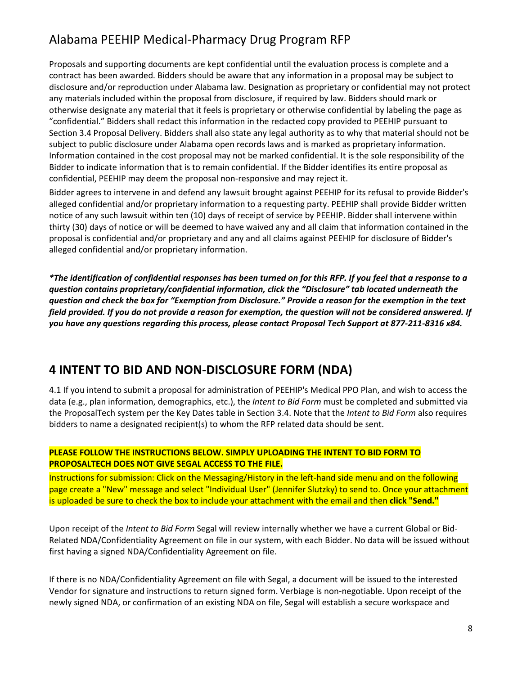Proposals and supporting documents are kept confidential until the evaluation process is complete and a contract has been awarded. Bidders should be aware that any information in a proposal may be subject to disclosure and/or reproduction under Alabama law. Designation as proprietary or confidential may not protect any materials included within the proposal from disclosure, if required by law. Bidders should mark or otherwise designate any material that it feels is proprietary or otherwise confidential by labeling the page as "confidential." Bidders shall redact this information in the redacted copy provided to PEEHIP pursuant to Section 3.4 Proposal Delivery. Bidders shall also state any legal authority as to why that material should not be subject to public disclosure under Alabama open records laws and is marked as proprietary information. Information contained in the cost proposal may not be marked confidential. It is the sole responsibility of the Bidder to indicate information that is to remain confidential. If the Bidder identifies its entire proposal as confidential, PEEHIP may deem the proposal non-responsive and may reject it.

Bidder agrees to intervene in and defend any lawsuit brought against PEEHIP for its refusal to provide Bidder's alleged confidential and/or proprietary information to a requesting party. PEEHIP shall provide Bidder written notice of any such lawsuit within ten (10) days of receipt of service by PEEHIP. Bidder shall intervene within thirty (30) days of notice or will be deemed to have waived any and all claim that information contained in the proposal is confidential and/or proprietary and any and all claims against PEEHIP for disclosure of Bidder's alleged confidential and/or proprietary information.

*\*The identification of confidential responses has been turned on for this RFP. If you feel that a response to a question contains proprietary/confidential information, click the "Disclosure" tab located underneath the question and check the box for "Exemption from Disclosure." Provide a reason for the exemption in the text field provided. If you do not provide a reason for exemption, the question will not be considered answered. If you have any questions regarding this process, please contact Proposal Tech Support at 877-211-8316 x84.*

## **4 INTENT TO BID AND NON-DISCLOSURE FORM (NDA)**

4.1 If you intend to submit a proposal for administration of PEEHIP's Medical PPO Plan, and wish to access the data (e.g., plan information, demographics, etc.), the *Intent to Bid Form* must be completed and submitted via the ProposalTech system per the Key Dates table in Section 3.4. Note that the *Intent to Bid Form* also requires bidders to name a designated recipient(s) to whom the RFP related data should be sent.

#### **PLEASE FOLLOW THE INSTRUCTIONS BELOW. SIMPLY UPLOADING THE INTENT TO BID FORM TO PROPOSALTECH DOES NOT GIVE SEGAL ACCESS TO THE FILE.**

Instructions for submission: Click on the Messaging/History in the left-hand side menu and on the following page create a "New" message and select "Individual User" (Jennifer Slutzky) to send to. Once your attachment is uploaded be sure to check the box to include your attachment with the email and then **click "Send."**

Upon receipt of the *Intent to Bid Form* Segal will review internally whether we have a current Global or Bid-Related NDA/Confidentiality Agreement on file in our system, with each Bidder. No data will be issued without first having a signed NDA/Confidentiality Agreement on file.

If there is no NDA/Confidentiality Agreement on file with Segal, a document will be issued to the interested Vendor for signature and instructions to return signed form. Verbiage is non-negotiable. Upon receipt of the newly signed NDA, or confirmation of an existing NDA on file, Segal will establish a secure workspace and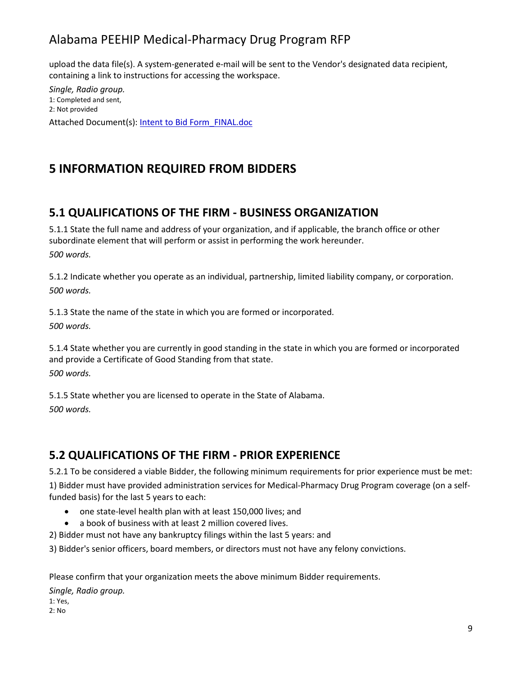upload the data file(s). A system-generated e-mail will be sent to the Vendor's designated data recipient, containing a link to instructions for accessing the workspace.

*Single, Radio group.* 1: Completed and sent, 2: Not provided Attached Document(s): Intent to Bid Form\_FINAL.doc

## **5 INFORMATION REQUIRED FROM BIDDERS**

## **5.1 QUALIFICATIONS OF THE FIRM - BUSINESS ORGANIZATION**

5.1.1 State the full name and address of your organization, and if applicable, the branch office or other subordinate element that will perform or assist in performing the work hereunder. *500 words.*

5.1.2 Indicate whether you operate as an individual, partnership, limited liability company, or corporation. *500 words.*

5.1.3 State the name of the state in which you are formed or incorporated. *500 words.*

5.1.4 State whether you are currently in good standing in the state in which you are formed or incorporated and provide a Certificate of Good Standing from that state. *500 words.*

5.1.5 State whether you are licensed to operate in the State of Alabama. *500 words.*

## **5.2 QUALIFICATIONS OF THE FIRM - PRIOR EXPERIENCE**

5.2.1 To be considered a viable Bidder, the following minimum requirements for prior experience must be met:

1) Bidder must have provided administration services for Medical-Pharmacy Drug Program coverage (on a selffunded basis) for the last 5 years to each:

- one state-level health plan with at least 150,000 lives; and
- a book of business with at least 2 million covered lives.
- 2) Bidder must not have any bankruptcy filings within the last 5 years: and

3) Bidder's senior officers, board members, or directors must not have any felony convictions.

Please confirm that your organization meets the above minimum Bidder requirements.

*Single, Radio group.* 1: Yes, 2: No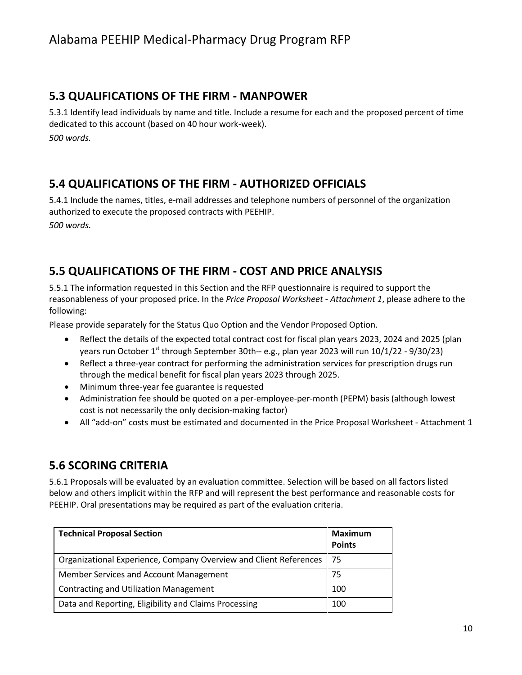#### **5.3 QUALIFICATIONS OF THE FIRM - MANPOWER**

5.3.1 Identify lead individuals by name and title. Include a resume for each and the proposed percent of time dedicated to this account (based on 40 hour work-week). *500 words.*

### **5.4 QUALIFICATIONS OF THE FIRM - AUTHORIZED OFFICIALS**

5.4.1 Include the names, titles, e-mail addresses and telephone numbers of personnel of the organization authorized to execute the proposed contracts with PEEHIP. *500 words.*

### **5.5 QUALIFICATIONS OF THE FIRM - COST AND PRICE ANALYSIS**

5.5.1 The information requested in this Section and the RFP questionnaire is required to support the reasonableness of your proposed price. In the *Price Proposal Worksheet - Attachment 1*, please adhere to the following:

Please provide separately for the Status Quo Option and the Vendor Proposed Option.

- Reflect the details of the expected total contract cost for fiscal plan years 2023, 2024 and 2025 (plan years run October 1<sup>st</sup> through September 30th-- e.g., plan year 2023 will run 10/1/22 - 9/30/23)
- Reflect a three-year contract for performing the administration services for prescription drugs run through the medical benefit for fiscal plan years 2023 through 2025.
- Minimum three-year fee guarantee is requested
- Administration fee should be quoted on a per-employee-per-month (PEPM) basis (although lowest cost is not necessarily the only decision-making factor)
- All "add-on" costs must be estimated and documented in the Price Proposal Worksheet Attachment 1

### **5.6 SCORING CRITERIA**

5.6.1 Proposals will be evaluated by an evaluation committee. Selection will be based on all factors listed below and others implicit within the RFP and will represent the best performance and reasonable costs for PEEHIP. Oral presentations may be required as part of the evaluation criteria.

| <b>Technical Proposal Section</b>                                 | Maximum<br><b>Points</b> |
|-------------------------------------------------------------------|--------------------------|
| Organizational Experience, Company Overview and Client References | -75                      |
| Member Services and Account Management                            | 75                       |
| <b>Contracting and Utilization Management</b>                     | 100                      |
| Data and Reporting, Eligibility and Claims Processing             | 100                      |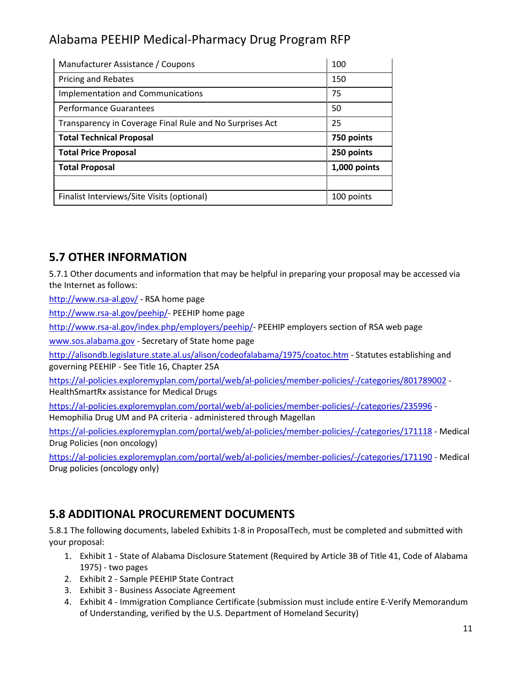| Manufacturer Assistance / Coupons                        | 100          |
|----------------------------------------------------------|--------------|
| <b>Pricing and Rebates</b>                               | 150          |
| <b>Implementation and Communications</b>                 | 75           |
| <b>Performance Guarantees</b>                            | 50           |
| Transparency in Coverage Final Rule and No Surprises Act | 25           |
| <b>Total Technical Proposal</b>                          | 750 points   |
| <b>Total Price Proposal</b>                              | 250 points   |
|                                                          | 1,000 points |
| <b>Total Proposal</b>                                    |              |
|                                                          |              |

### **5.7 OTHER INFORMATION**

5.7.1 Other documents and information that may be helpful in preparing your proposal may be accessed via the Internet as follows:

<http://www.rsa-al.gov/> - RSA home page

[http://www.rsa-al.gov/peehip/-](http://www.rsa-al.gov/peehip/) PEEHIP home page

[http://www.rsa-al.gov/index.php/employers/peehip/-](http://www.rsa-al.gov/index.php/employers/peehip/) PEEHIP employers section of RSA web page

[www.sos.alabama.gov](http://www.sos.alabama.gov/) - Secretary of State home page

<http://alisondb.legislature.state.al.us/alison/codeofalabama/1975/coatoc.htm> - Statutes establishing and governing PEEHIP - See Title 16, Chapter 25A

<https://al-policies.exploremyplan.com/portal/web/al-policies/member-policies/-/categories/801789002> - HealthSmartRx assistance for Medical Drugs

<https://al-policies.exploremyplan.com/portal/web/al-policies/member-policies/-/categories/235996> - Hemophilia Drug UM and PA criteria - administered through Magellan

<https://al-policies.exploremyplan.com/portal/web/al-policies/member-policies/-/categories/171118> - Medical Drug Policies (non oncology)

<https://al-policies.exploremyplan.com/portal/web/al-policies/member-policies/-/categories/171190> - Medical Drug policies (oncology only)

## **5.8 ADDITIONAL PROCUREMENT DOCUMENTS**

5.8.1 The following documents, labeled Exhibits 1-8 in ProposalTech, must be completed and submitted with your proposal:

- 1. Exhibit 1 State of Alabama Disclosure Statement (Required by Article 3B of Title 41, Code of Alabama 1975) - two pages
- 2. Exhibit 2 Sample PEEHIP State Contract
- 3. Exhibit 3 Business Associate Agreement
- 4. Exhibit 4 Immigration Compliance Certificate (submission must include entire E-Verify Memorandum of Understanding, verified by the U.S. Department of Homeland Security)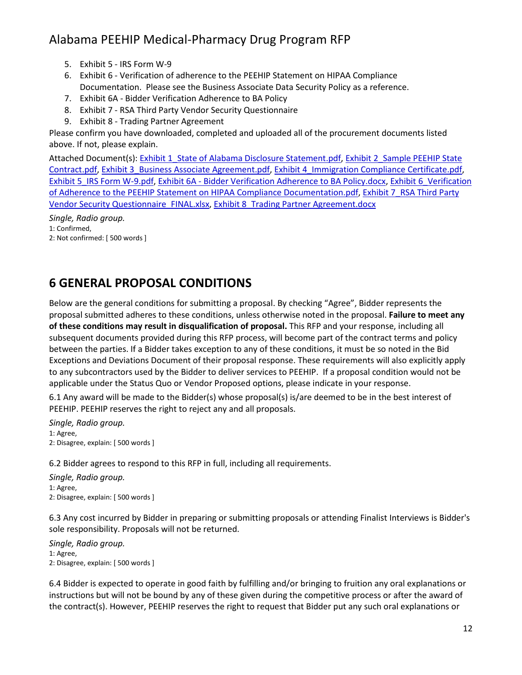- 5. Exhibit 5 IRS Form W-9
- 6. Exhibit 6 Verification of adherence to the PEEHIP Statement on HIPAA Compliance Documentation. Please see the Business Associate Data Security Policy as a reference.
- 7. Exhibit 6A Bidder Verification Adherence to BA Policy
- 8. Exhibit 7 RSA Third Party Vendor Security Questionnaire
- 9. Exhibit 8 Trading Partner Agreement

Please confirm you have downloaded, completed and uploaded all of the procurement documents listed above. If not, please explain.

Attached Document(s): Exhibit 1\_State of Alabama Disclosure Statement.pdf, Exhibit 2\_Sample PEEHIP State Contract.pdf, Exhibit 3\_Business Associate Agreement.pdf, Exhibit 4\_Immigration Compliance Certificate.pdf, Exhibit 5\_IRS Form W-9.pdf, Exhibit 6A - Bidder Verification Adherence to BA Policy.docx, Exhibit 6\_Verification of Adherence to the PEEHIP Statement on HIPAA Compliance Documentation.pdf, Exhibit 7\_RSA Third Party Vendor Security Questionnaire\_FINAL.xlsx, Exhibit 8\_Trading Partner Agreement.docx

*Single, Radio group.*

1: Confirmed,

2: Not confirmed: [ 500 words ]

## **6 GENERAL PROPOSAL CONDITIONS**

Below are the general conditions for submitting a proposal. By checking "Agree", Bidder represents the proposal submitted adheres to these conditions, unless otherwise noted in the proposal. **Failure to meet any of these conditions may result in disqualification of proposal.** This RFP and your response, including all subsequent documents provided during this RFP process, will become part of the contract terms and policy between the parties. If a Bidder takes exception to any of these conditions, it must be so noted in the Bid Exceptions and Deviations Document of their proposal response. These requirements will also explicitly apply to any subcontractors used by the Bidder to deliver services to PEEHIP. If a proposal condition would not be applicable under the Status Quo or Vendor Proposed options, please indicate in your response.

6.1 Any award will be made to the Bidder(s) whose proposal(s) is/are deemed to be in the best interest of PEEHIP. PEEHIP reserves the right to reject any and all proposals.

*Single, Radio group.* 1: Agree, 2: Disagree, explain: [ 500 words ]

6.2 Bidder agrees to respond to this RFP in full, including all requirements.

*Single, Radio group.* 1: Agree, 2: Disagree, explain: [ 500 words ]

6.3 Any cost incurred by Bidder in preparing or submitting proposals or attending Finalist Interviews is Bidder's sole responsibility. Proposals will not be returned.

*Single, Radio group.* 1: Agree, 2: Disagree, explain: [ 500 words ]

6.4 Bidder is expected to operate in good faith by fulfilling and/or bringing to fruition any oral explanations or instructions but will not be bound by any of these given during the competitive process or after the award of the contract(s). However, PEEHIP reserves the right to request that Bidder put any such oral explanations or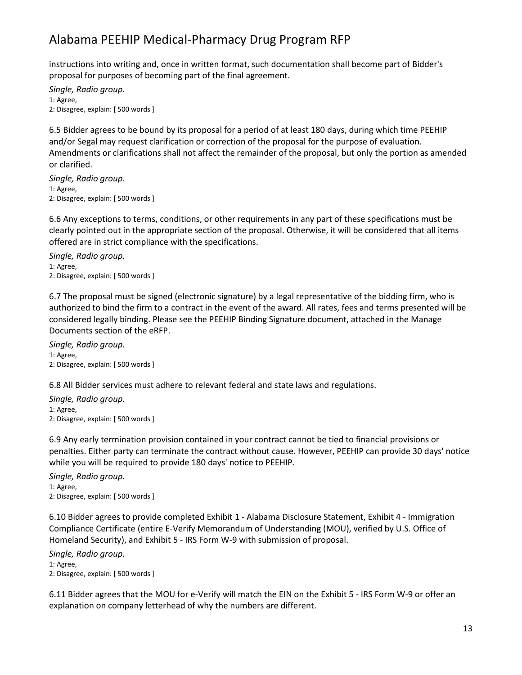instructions into writing and, once in written format, such documentation shall become part of Bidder's proposal for purposes of becoming part of the final agreement.

*Single, Radio group.* 1: Agree, 2: Disagree, explain: [ 500 words ]

6.5 Bidder agrees to be bound by its proposal for a period of at least 180 days, during which time PEEHIP and/or Segal may request clarification or correction of the proposal for the purpose of evaluation. Amendments or clarifications shall not affect the remainder of the proposal, but only the portion as amended or clarified.

*Single, Radio group.* 1: Agree, 2: Disagree, explain: [ 500 words ]

6.6 Any exceptions to terms, conditions, or other requirements in any part of these specifications must be clearly pointed out in the appropriate section of the proposal. Otherwise, it will be considered that all items offered are in strict compliance with the specifications.

*Single, Radio group.* 1: Agree, 2: Disagree, explain: [ 500 words ]

6.7 The proposal must be signed (electronic signature) by a legal representative of the bidding firm, who is authorized to bind the firm to a contract in the event of the award. All rates, fees and terms presented will be considered legally binding. Please see the PEEHIP Binding Signature document, attached in the Manage Documents section of the eRFP.

*Single, Radio group.* 1: Agree, 2: Disagree, explain: [ 500 words ]

6.8 All Bidder services must adhere to relevant federal and state laws and regulations.

*Single, Radio group.* 1: Agree, 2: Disagree, explain: [ 500 words ]

6.9 Any early termination provision contained in your contract cannot be tied to financial provisions or penalties. Either party can terminate the contract without cause. However, PEEHIP can provide 30 days' notice while you will be required to provide 180 days' notice to PEEHIP.

*Single, Radio group.* 1: Agree, 2: Disagree, explain: [ 500 words ]

6.10 Bidder agrees to provide completed Exhibit 1 - Alabama Disclosure Statement, Exhibit 4 - Immigration Compliance Certificate (entire E-Verify Memorandum of Understanding (MOU), verified by U.S. Office of Homeland Security), and Exhibit 5 - IRS Form W-9 with submission of proposal.

*Single, Radio group.* 1: Agree, 2: Disagree, explain: [ 500 words ]

6.11 Bidder agrees that the MOU for e-Verify will match the EIN on the Exhibit 5 - IRS Form W-9 or offer an explanation on company letterhead of why the numbers are different.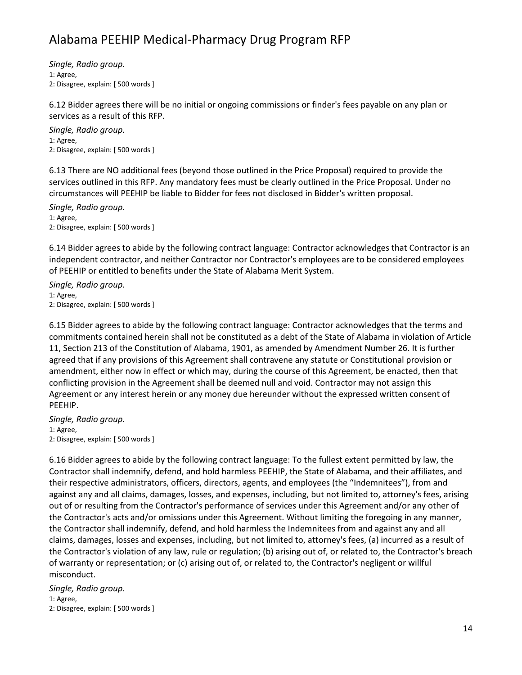*Single, Radio group.* 1: Agree, 2: Disagree, explain: [ 500 words ]

6.12 Bidder agrees there will be no initial or ongoing commissions or finder's fees payable on any plan or services as a result of this RFP.

*Single, Radio group.* 1: Agree, 2: Disagree, explain: [ 500 words ]

6.13 There are NO additional fees (beyond those outlined in the Price Proposal) required to provide the services outlined in this RFP. Any mandatory fees must be clearly outlined in the Price Proposal. Under no circumstances will PEEHIP be liable to Bidder for fees not disclosed in Bidder's written proposal.

*Single, Radio group.* 1: Agree, 2: Disagree, explain: [ 500 words ]

6.14 Bidder agrees to abide by the following contract language: Contractor acknowledges that Contractor is an independent contractor, and neither Contractor nor Contractor's employees are to be considered employees of PEEHIP or entitled to benefits under the State of Alabama Merit System.

*Single, Radio group.* 1: Agree, 2: Disagree, explain: [ 500 words ]

6.15 Bidder agrees to abide by the following contract language: Contractor acknowledges that the terms and commitments contained herein shall not be constituted as a debt of the State of Alabama in violation of Article 11, Section 213 of the Constitution of Alabama, 1901, as amended by Amendment Number 26. It is further agreed that if any provisions of this Agreement shall contravene any statute or Constitutional provision or amendment, either now in effect or which may, during the course of this Agreement, be enacted, then that conflicting provision in the Agreement shall be deemed null and void. Contractor may not assign this Agreement or any interest herein or any money due hereunder without the expressed written consent of PEEHIP.

*Single, Radio group.* 1: Agree, 2: Disagree, explain: [ 500 words ]

6.16 Bidder agrees to abide by the following contract language: To the fullest extent permitted by law, the Contractor shall indemnify, defend, and hold harmless PEEHIP, the State of Alabama, and their affiliates, and their respective administrators, officers, directors, agents, and employees (the "Indemnitees"), from and against any and all claims, damages, losses, and expenses, including, but not limited to, attorney's fees, arising out of or resulting from the Contractor's performance of services under this Agreement and/or any other of the Contractor's acts and/or omissions under this Agreement. Without limiting the foregoing in any manner, the Contractor shall indemnify, defend, and hold harmless the Indemnitees from and against any and all claims, damages, losses and expenses, including, but not limited to, attorney's fees, (a) incurred as a result of the Contractor's violation of any law, rule or regulation; (b) arising out of, or related to, the Contractor's breach of warranty or representation; or (c) arising out of, or related to, the Contractor's negligent or willful misconduct.

*Single, Radio group.* 1: Agree, 2: Disagree, explain: [ 500 words ]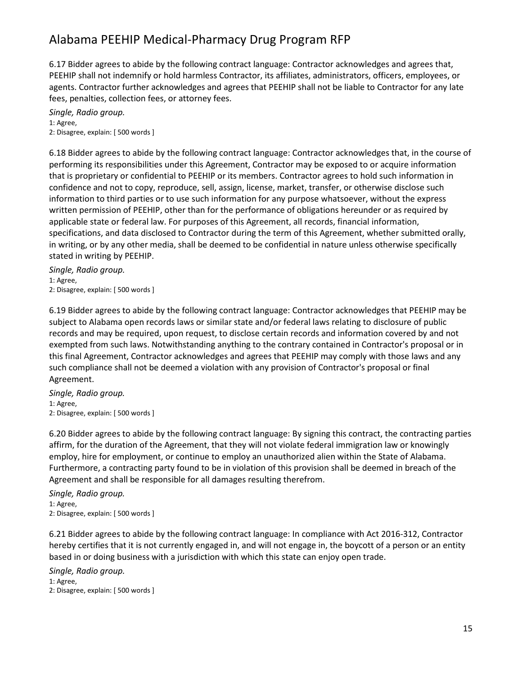6.17 Bidder agrees to abide by the following contract language: Contractor acknowledges and agrees that, PEEHIP shall not indemnify or hold harmless Contractor, its affiliates, administrators, officers, employees, or agents. Contractor further acknowledges and agrees that PEEHIP shall not be liable to Contractor for any late fees, penalties, collection fees, or attorney fees.

*Single, Radio group.* 1: Agree, 2: Disagree, explain: [ 500 words ]

6.18 Bidder agrees to abide by the following contract language: Contractor acknowledges that, in the course of performing its responsibilities under this Agreement, Contractor may be exposed to or acquire information that is proprietary or confidential to PEEHIP or its members. Contractor agrees to hold such information in confidence and not to copy, reproduce, sell, assign, license, market, transfer, or otherwise disclose such information to third parties or to use such information for any purpose whatsoever, without the express written permission of PEEHIP, other than for the performance of obligations hereunder or as required by applicable state or federal law. For purposes of this Agreement, all records, financial information, specifications, and data disclosed to Contractor during the term of this Agreement, whether submitted orally, in writing, or by any other media, shall be deemed to be confidential in nature unless otherwise specifically stated in writing by PEEHIP.

*Single, Radio group.* 1: Agree, 2: Disagree, explain: [ 500 words ]

6.19 Bidder agrees to abide by the following contract language: Contractor acknowledges that PEEHIP may be subject to Alabama open records laws or similar state and/or federal laws relating to disclosure of public records and may be required, upon request, to disclose certain records and information covered by and not exempted from such laws. Notwithstanding anything to the contrary contained in Contractor's proposal or in this final Agreement, Contractor acknowledges and agrees that PEEHIP may comply with those laws and any such compliance shall not be deemed a violation with any provision of Contractor's proposal or final Agreement.

*Single, Radio group.* 1: Agree, 2: Disagree, explain: [ 500 words ]

6.20 Bidder agrees to abide by the following contract language: By signing this contract, the contracting parties affirm, for the duration of the Agreement, that they will not violate federal immigration law or knowingly employ, hire for employment, or continue to employ an unauthorized alien within the State of Alabama. Furthermore, a contracting party found to be in violation of this provision shall be deemed in breach of the Agreement and shall be responsible for all damages resulting therefrom.

*Single, Radio group.* 1: Agree, 2: Disagree, explain: [ 500 words ]

6.21 Bidder agrees to abide by the following contract language: In compliance with Act 2016-312, Contractor hereby certifies that it is not currently engaged in, and will not engage in, the boycott of a person or an entity based in or doing business with a jurisdiction with which this state can enjoy open trade.

*Single, Radio group.* 1: Agree, 2: Disagree, explain: [ 500 words ]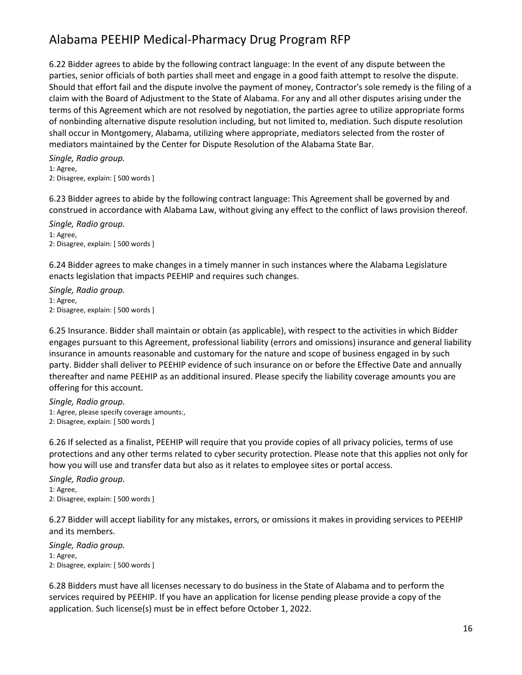6.22 Bidder agrees to abide by the following contract language: In the event of any dispute between the parties, senior officials of both parties shall meet and engage in a good faith attempt to resolve the dispute. Should that effort fail and the dispute involve the payment of money, Contractor's sole remedy is the filing of a claim with the Board of Adjustment to the State of Alabama. For any and all other disputes arising under the terms of this Agreement which are not resolved by negotiation, the parties agree to utilize appropriate forms of nonbinding alternative dispute resolution including, but not limited to, mediation. Such dispute resolution shall occur in Montgomery, Alabama, utilizing where appropriate, mediators selected from the roster of mediators maintained by the Center for Dispute Resolution of the Alabama State Bar.

*Single, Radio group.* 1: Agree, 2: Disagree, explain: [ 500 words ]

6.23 Bidder agrees to abide by the following contract language: This Agreement shall be governed by and construed in accordance with Alabama Law, without giving any effect to the conflict of laws provision thereof.

*Single, Radio group.* 1: Agree, 2: Disagree, explain: [ 500 words ]

6.24 Bidder agrees to make changes in a timely manner in such instances where the Alabama Legislature enacts legislation that impacts PEEHIP and requires such changes.

*Single, Radio group.* 1: Agree, 2: Disagree, explain: [ 500 words ]

6.25 Insurance. Bidder shall maintain or obtain (as applicable), with respect to the activities in which Bidder engages pursuant to this Agreement, professional liability (errors and omissions) insurance and general liability insurance in amounts reasonable and customary for the nature and scope of business engaged in by such party. Bidder shall deliver to PEEHIP evidence of such insurance on or before the Effective Date and annually thereafter and name PEEHIP as an additional insured. Please specify the liability coverage amounts you are offering for this account.

*Single, Radio group.* 1: Agree, please specify coverage amounts:, 2: Disagree, explain: [ 500 words ]

6.26 If selected as a finalist, PEEHIP will require that you provide copies of all privacy policies, terms of use protections and any other terms related to cyber security protection. Please note that this applies not only for how you will use and transfer data but also as it relates to employee sites or portal access.

*Single, Radio group.* 1: Agree, 2: Disagree, explain: [ 500 words ]

6.27 Bidder will accept liability for any mistakes, errors, or omissions it makes in providing services to PEEHIP and its members.

*Single, Radio group.* 1: Agree, 2: Disagree, explain: [ 500 words ]

6.28 Bidders must have all licenses necessary to do business in the State of Alabama and to perform the services required by PEEHIP. If you have an application for license pending please provide a copy of the application. Such license(s) must be in effect before October 1, 2022.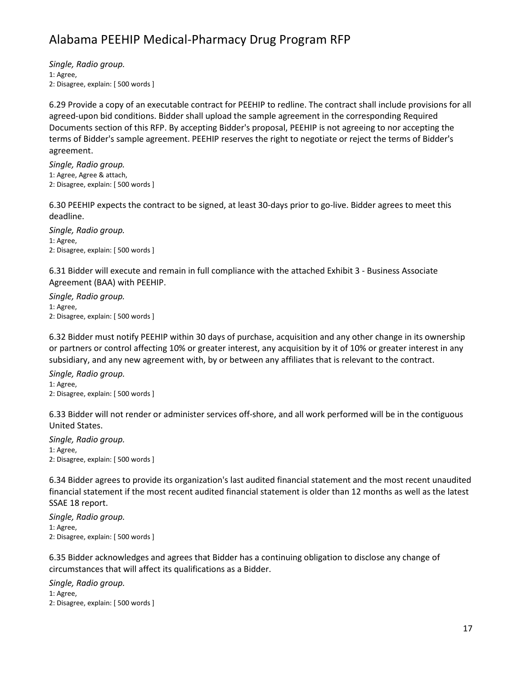*Single, Radio group.* 1: Agree, 2: Disagree, explain: [ 500 words ]

6.29 Provide a copy of an executable contract for PEEHIP to redline. The contract shall include provisions for all agreed-upon bid conditions. Bidder shall upload the sample agreement in the corresponding Required Documents section of this RFP. By accepting Bidder's proposal, PEEHIP is not agreeing to nor accepting the terms of Bidder's sample agreement. PEEHIP reserves the right to negotiate or reject the terms of Bidder's agreement.

*Single, Radio group.* 1: Agree, Agree & attach, 2: Disagree, explain: [ 500 words ]

6.30 PEEHIP expects the contract to be signed, at least 30-days prior to go-live. Bidder agrees to meet this deadline.

*Single, Radio group.* 1: Agree, 2: Disagree, explain: [ 500 words ]

6.31 Bidder will execute and remain in full compliance with the attached Exhibit 3 - Business Associate Agreement (BAA) with PEEHIP.

*Single, Radio group.* 1: Agree, 2: Disagree, explain: [ 500 words ]

6.32 Bidder must notify PEEHIP within 30 days of purchase, acquisition and any other change in its ownership or partners or control affecting 10% or greater interest, any acquisition by it of 10% or greater interest in any subsidiary, and any new agreement with, by or between any affiliates that is relevant to the contract.

*Single, Radio group.* 1: Agree, 2: Disagree, explain: [ 500 words ]

6.33 Bidder will not render or administer services off-shore, and all work performed will be in the contiguous United States.

*Single, Radio group.* 1: Agree, 2: Disagree, explain: [ 500 words ]

6.34 Bidder agrees to provide its organization's last audited financial statement and the most recent unaudited financial statement if the most recent audited financial statement is older than 12 months as well as the latest SSAE 18 report.

*Single, Radio group.* 1: Agree, 2: Disagree, explain: [ 500 words ]

6.35 Bidder acknowledges and agrees that Bidder has a continuing obligation to disclose any change of circumstances that will affect its qualifications as a Bidder.

*Single, Radio group.* 1: Agree, 2: Disagree, explain: [ 500 words ]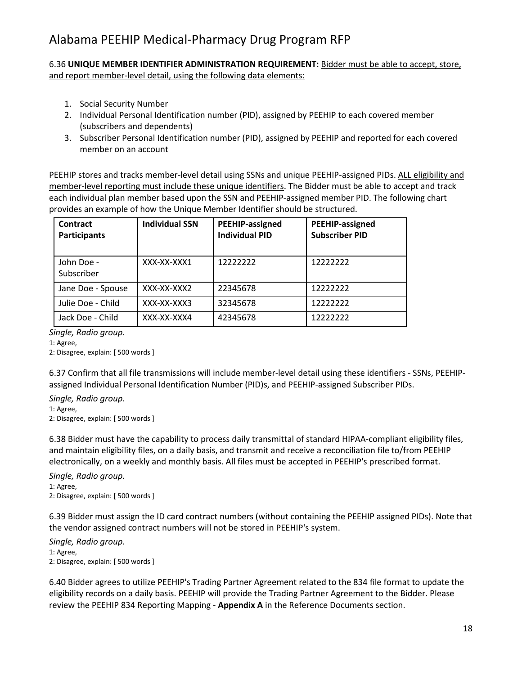6.36 **UNIQUE MEMBER IDENTIFIER ADMINISTRATION REQUIREMENT:** Bidder must be able to accept, store, and report member-level detail, using the following data elements:

- 1. Social Security Number
- 2. Individual Personal Identification number (PID), assigned by PEEHIP to each covered member (subscribers and dependents)
- 3. Subscriber Personal Identification number (PID), assigned by PEEHIP and reported for each covered member on an account

PEEHIP stores and tracks member-level detail using SSNs and unique PEEHIP-assigned PIDs. ALL eligibility and member-level reporting must include these unique identifiers. The Bidder must be able to accept and track each individual plan member based upon the SSN and PEEHIP-assigned member PID. The following chart provides an example of how the Unique Member Identifier should be structured.

| <b>Contract</b><br><b>Participants</b> | <b>Individual SSN</b> | PEEHIP-assigned<br><b>Individual PID</b> | PEEHIP-assigned<br><b>Subscriber PID</b> |  |
|----------------------------------------|-----------------------|------------------------------------------|------------------------------------------|--|
| John Doe -<br>Subscriber               | XXX-XX-XXX1           | 12222222                                 | 12222222                                 |  |
| Jane Doe - Spouse                      | XXX-XX-XXX2           | 22345678                                 | 12222222                                 |  |
| Julie Doe - Child                      | XXX-XX-XXX3           | 32345678                                 | 12222222                                 |  |
| Jack Doe - Child                       | XXX-XX-XXX4           | 42345678                                 | 12222222                                 |  |

*Single, Radio group.*

1: Agree,

2: Disagree, explain: [ 500 words ]

6.37 Confirm that all file transmissions will include member-level detail using these identifiers - SSNs, PEEHIPassigned Individual Personal Identification Number (PID)s, and PEEHIP-assigned Subscriber PIDs.

*Single, Radio group.*

1: Agree,

2: Disagree, explain: [ 500 words ]

6.38 Bidder must have the capability to process daily transmittal of standard HIPAA-compliant eligibility files, and maintain eligibility files, on a daily basis, and transmit and receive a reconciliation file to/from PEEHIP electronically, on a weekly and monthly basis. All files must be accepted in PEEHIP's prescribed format.

*Single, Radio group.* 1: Agree, 2: Disagree, explain: [ 500 words ]

6.39 Bidder must assign the ID card contract numbers (without containing the PEEHIP assigned PIDs). Note that the vendor assigned contract numbers will not be stored in PEEHIP's system.

*Single, Radio group.* 1: Agree, 2: Disagree, explain: [ 500 words ]

6.40 Bidder agrees to utilize PEEHIP's Trading Partner Agreement related to the 834 file format to update the eligibility records on a daily basis. PEEHIP will provide the Trading Partner Agreement to the Bidder. Please review the PEEHIP 834 Reporting Mapping - **Appendix A** in the Reference Documents section.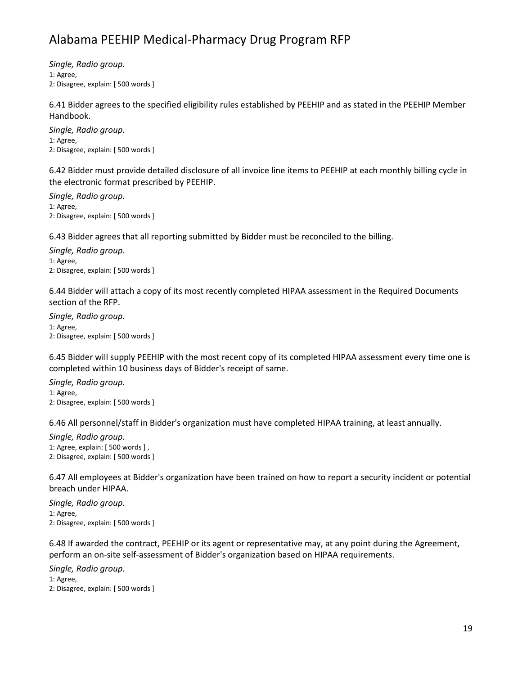*Single, Radio group.* 1: Agree, 2: Disagree, explain: [ 500 words ]

6.41 Bidder agrees to the specified eligibility rules established by PEEHIP and as stated in the PEEHIP Member Handbook.

*Single, Radio group.* 1: Agree, 2: Disagree, explain: [ 500 words ]

6.42 Bidder must provide detailed disclosure of all invoice line items to PEEHIP at each monthly billing cycle in the electronic format prescribed by PEEHIP.

*Single, Radio group.* 1: Agree, 2: Disagree, explain: [ 500 words ]

6.43 Bidder agrees that all reporting submitted by Bidder must be reconciled to the billing.

*Single, Radio group.* 1: Agree, 2: Disagree, explain: [ 500 words ]

6.44 Bidder will attach a copy of its most recently completed HIPAA assessment in the Required Documents section of the RFP.

*Single, Radio group.* 1: Agree, 2: Disagree, explain: [ 500 words ]

6.45 Bidder will supply PEEHIP with the most recent copy of its completed HIPAA assessment every time one is completed within 10 business days of Bidder's receipt of same.

*Single, Radio group.* 1: Agree, 2: Disagree, explain: [ 500 words ]

6.46 All personnel/staff in Bidder's organization must have completed HIPAA training, at least annually.

*Single, Radio group.* 1: Agree, explain: [ 500 words ] , 2: Disagree, explain: [ 500 words ]

6.47 All employees at Bidder's organization have been trained on how to report a security incident or potential breach under HIPAA.

*Single, Radio group.* 1: Agree, 2: Disagree, explain: [ 500 words ]

6.48 If awarded the contract, PEEHIP or its agent or representative may, at any point during the Agreement, perform an on-site self-assessment of Bidder's organization based on HIPAA requirements.

*Single, Radio group.* 1: Agree, 2: Disagree, explain: [ 500 words ]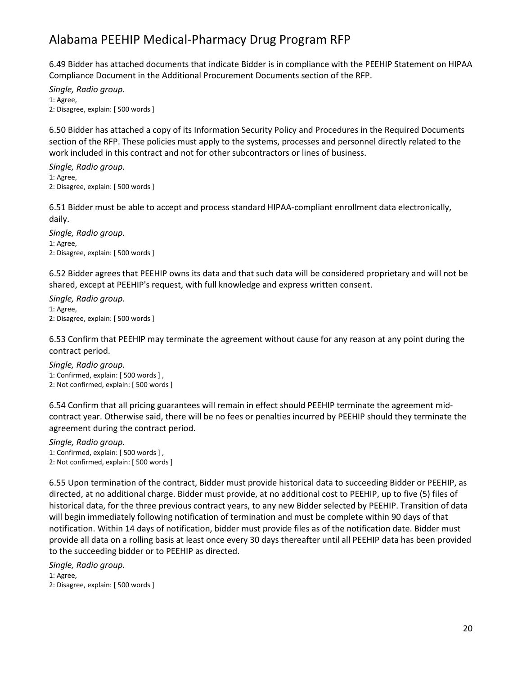6.49 Bidder has attached documents that indicate Bidder is in compliance with the PEEHIP Statement on HIPAA Compliance Document in the Additional Procurement Documents section of the RFP.

*Single, Radio group.* 1: Agree, 2: Disagree, explain: [ 500 words ]

6.50 Bidder has attached a copy of its Information Security Policy and Procedures in the Required Documents section of the RFP. These policies must apply to the systems, processes and personnel directly related to the work included in this contract and not for other subcontractors or lines of business.

*Single, Radio group.* 1: Agree, 2: Disagree, explain: [ 500 words ]

6.51 Bidder must be able to accept and process standard HIPAA-compliant enrollment data electronically, daily.

*Single, Radio group.* 1: Agree, 2: Disagree, explain: [ 500 words ]

6.52 Bidder agrees that PEEHIP owns its data and that such data will be considered proprietary and will not be shared, except at PEEHIP's request, with full knowledge and express written consent.

*Single, Radio group.* 1: Agree, 2: Disagree, explain: [ 500 words ]

6.53 Confirm that PEEHIP may terminate the agreement without cause for any reason at any point during the contract period.

*Single, Radio group.* 1: Confirmed, explain: [ 500 words ] , 2: Not confirmed, explain: [ 500 words ]

6.54 Confirm that all pricing guarantees will remain in effect should PEEHIP terminate the agreement midcontract year. Otherwise said, there will be no fees or penalties incurred by PEEHIP should they terminate the agreement during the contract period.

*Single, Radio group.* 1: Confirmed, explain: [ 500 words ] , 2: Not confirmed, explain: [ 500 words ]

6.55 Upon termination of the contract, Bidder must provide historical data to succeeding Bidder or PEEHIP, as directed, at no additional charge. Bidder must provide, at no additional cost to PEEHIP, up to five (5) files of historical data, for the three previous contract years, to any new Bidder selected by PEEHIP. Transition of data will begin immediately following notification of termination and must be complete within 90 days of that notification. Within 14 days of notification, bidder must provide files as of the notification date. Bidder must provide all data on a rolling basis at least once every 30 days thereafter until all PEEHIP data has been provided to the succeeding bidder or to PEEHIP as directed.

*Single, Radio group.* 1: Agree, 2: Disagree, explain: [ 500 words ]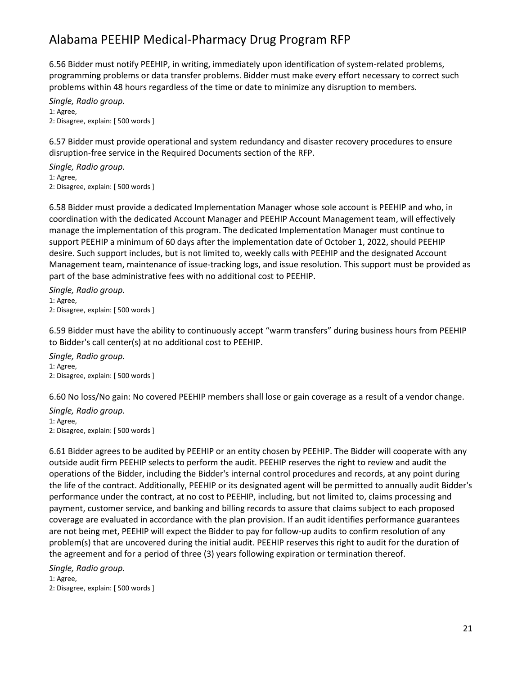6.56 Bidder must notify PEEHIP, in writing, immediately upon identification of system-related problems, programming problems or data transfer problems. Bidder must make every effort necessary to correct such problems within 48 hours regardless of the time or date to minimize any disruption to members.

*Single, Radio group.* 1: Agree, 2: Disagree, explain: [ 500 words ]

6.57 Bidder must provide operational and system redundancy and disaster recovery procedures to ensure disruption-free service in the Required Documents section of the RFP.

*Single, Radio group.* 1: Agree, 2: Disagree, explain: [ 500 words ]

6.58 Bidder must provide a dedicated Implementation Manager whose sole account is PEEHIP and who, in coordination with the dedicated Account Manager and PEEHIP Account Management team, will effectively manage the implementation of this program. The dedicated Implementation Manager must continue to support PEEHIP a minimum of 60 days after the implementation date of October 1, 2022, should PEEHIP desire. Such support includes, but is not limited to, weekly calls with PEEHIP and the designated Account Management team, maintenance of issue-tracking logs, and issue resolution. This support must be provided as part of the base administrative fees with no additional cost to PEEHIP.

*Single, Radio group.* 1: Agree, 2: Disagree, explain: [ 500 words ]

6.59 Bidder must have the ability to continuously accept "warm transfers" during business hours from PEEHIP to Bidder's call center(s) at no additional cost to PEEHIP.

*Single, Radio group.* 1: Agree, 2: Disagree, explain: [ 500 words ]

6.60 No loss/No gain: No covered PEEHIP members shall lose or gain coverage as a result of a vendor change.

*Single, Radio group.* 1: Agree, 2: Disagree, explain: [ 500 words ]

6.61 Bidder agrees to be audited by PEEHIP or an entity chosen by PEEHIP. The Bidder will cooperate with any outside audit firm PEEHIP selects to perform the audit. PEEHIP reserves the right to review and audit the operations of the Bidder, including the Bidder's internal control procedures and records, at any point during the life of the contract. Additionally, PEEHIP or its designated agent will be permitted to annually audit Bidder's performance under the contract, at no cost to PEEHIP, including, but not limited to, claims processing and payment, customer service, and banking and billing records to assure that claims subject to each proposed coverage are evaluated in accordance with the plan provision. If an audit identifies performance guarantees are not being met, PEEHIP will expect the Bidder to pay for follow-up audits to confirm resolution of any problem(s) that are uncovered during the initial audit. PEEHIP reserves this right to audit for the duration of the agreement and for a period of three (3) years following expiration or termination thereof.

*Single, Radio group.* 1: Agree,

2: Disagree, explain: [ 500 words ]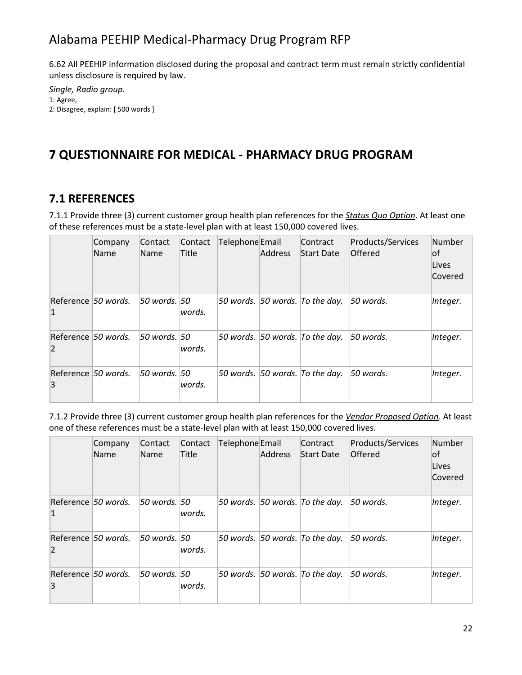6.62 All PEEHIP information disclosed during the proposal and contract term must remain strictly confidential unless disclosure is required by law.

```
Single, Radio group.
1: Agree,
2: Disagree, explain: [ 500 words ]
```
## **7 QUESTIONNAIRE FOR MEDICAL - PHARMACY DRUG PROGRAM**

#### **7.1 REFERENCES**

7.1.1 Provide three (3) current customer group health plan references for the *Status Quo Option*. At least one of these references must be a state-level plan with at least 150,000 covered lives.

|                                       | Company<br>Name | Contact<br>Name  | Contact<br><b>Title</b> | Telephone Email | <b>Address</b> | Contract<br>Start Date             | Products/Services<br><b>Offered</b> | Number<br>of<br>Lives<br>Covered |
|---------------------------------------|-----------------|------------------|-------------------------|-----------------|----------------|------------------------------------|-------------------------------------|----------------------------------|
| Reference 50 words.<br>$\vert$ 1      |                 | 50 words. 50     | words.                  |                 |                | 50 words. $ 50$ words. To the day. | 50 words.                           | Integer.                         |
| Reference 50 words.<br>$\overline{2}$ |                 | $50$ words. $50$ | words.                  |                 |                | 50 words. $ 50$ words. To the day. | 50 words.                           | Integer.                         |
| Reference 50 words.<br>3              |                 | $50$ words, $50$ | lwords.                 |                 |                | 50 words. $ 50$ words. To the day. | 50 words.                           | Integer.                         |

7.1.2 Provide three (3) current customer group health plan references for the *Vendor Proposed Option*. At least one of these references must be a state-level plan with at least 150,000 covered lives.

|                | Company<br><b>Name</b> | Contact<br>Name | Contact<br>Title | Telephone Email | <b>Address</b> | Contract<br>Start Date             | Products/Services<br>Offered | Number<br>lof<br>Lives<br>Covered |
|----------------|------------------------|-----------------|------------------|-----------------|----------------|------------------------------------|------------------------------|-----------------------------------|
| 1              | Reference 50 words.    | 50 words. 50    | lwords.          |                 |                | 50 words. $ 50$ words. To the day. | $50$ words.                  | Integer.                          |
| $\overline{2}$ | Reference 50 words.    | 50 words. 50    | lwords.          |                 |                | 50 words. $ 50$ words. To the day. | $50$ words.                  | Integer.                          |
| 3              | Reference 50 words.    | 50 words. 50    | lwords.          |                 |                | 50 words. $ 50$ words. To the day. | $50$ words.                  | Integer.                          |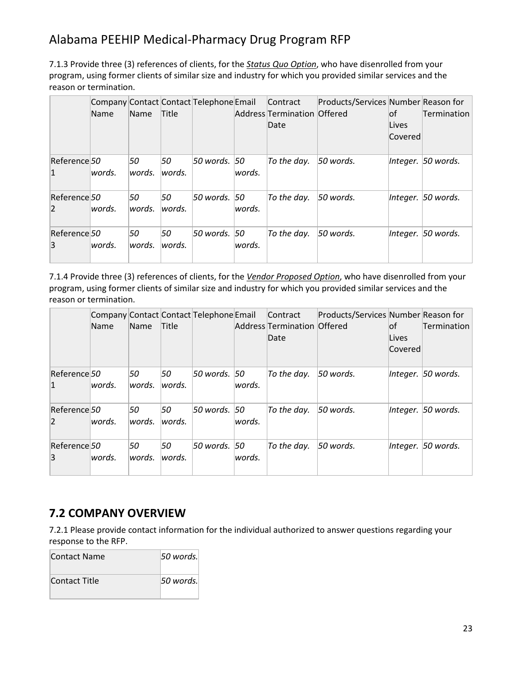7.1.3 Provide three (3) references of clients, for the *Status Quo Option*, who have disenrolled from your program, using former clients of similar size and industry for which you provided similar services and the reason or termination.

|                                | Name    | Name          | <b>Title</b> | Company Contact Contact Telephone Email |        | <b>Contract</b><br>Address Termination Offered<br>Date | Products/Services Number Reason for | lof<br>Lives<br>Covered | Termination        |
|--------------------------------|---------|---------------|--------------|-----------------------------------------|--------|--------------------------------------------------------|-------------------------------------|-------------------------|--------------------|
| Reference 50<br>1              | lwords. | 50<br>words.  | 50<br>words. | 50 words. 50                            | words. | To the day.                                            | 50 words.                           |                         | Integer. 50 words. |
| Reference 50<br>$\overline{2}$ | lwords. | 50<br>lwords. | 50<br>words. | 50 words. 50                            | words. | To the day.                                            | 50 words.                           |                         | Integer. 50 words. |
| Reference 50<br>3              | lwords. | 50<br>lwords. | 50<br>words. | 50 words. 50                            | words. | To the day.                                            | 50 words.                           |                         | Integer. 50 words. |

7.1.4 Provide three (3) references of clients, for the *Vendor Proposed Option*, who have disenrolled from your program, using former clients of similar size and industry for which you provided similar services and the reason or termination.

|                                | Name    | Name         | <b>Title</b> | Company Contact Contact Telephone Email |              | Contract<br>Address Termination Offered<br>Date | Products/Services Number Reason for | lof<br>Lives<br>Covered | Termination        |
|--------------------------------|---------|--------------|--------------|-----------------------------------------|--------------|-------------------------------------------------|-------------------------------------|-------------------------|--------------------|
| Reference 50<br>$\mathbf{1}$   | lwords. | 50<br>words. | 50<br>words. | 50 words. 50                            | words.       | To the day.                                     | 50 words.                           |                         | Integer. 50 words. |
| Reference 50<br>$\overline{2}$ | lwords. | 50<br>words. | 50<br>words. | 50 words.                               | 50<br>words. | To the day.                                     | 50 words.                           |                         | Integer. 50 words. |
| Reference 50<br>3              | lwords. | 50<br>words. | 50<br>words. | 50 words.                               | 50<br>words. | To the day.                                     | 50 words.                           |                         | Integer. 50 words. |

### **7.2 COMPANY OVERVIEW**

7.2.1 Please provide contact information for the individual authorized to answer questions regarding your response to the RFP.

| Contact Name  | 50 words. |
|---------------|-----------|
| Contact Title | 50 words. |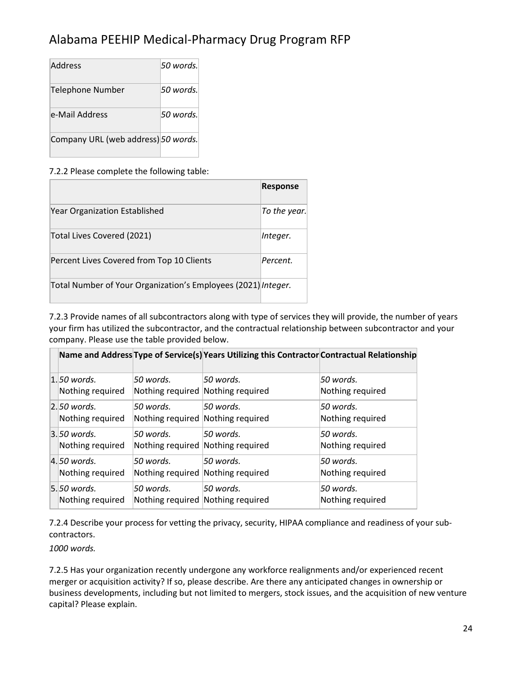| Address                             | 50 words. |
|-------------------------------------|-----------|
| Telephone Number                    | 50 words. |
| e-Mail Address                      | 50 words. |
| Company URL (web address) 50 words. |           |

#### 7.2.2 Please complete the following table:

|                                                               | <b>Response</b> |
|---------------------------------------------------------------|-----------------|
| Year Organization Established                                 | To the year.    |
| Total Lives Covered (2021)                                    | Integer.        |
| Percent Lives Covered from Top 10 Clients                     | Percent.        |
| Total Number of Your Organization's Employees (2021) Integer. |                 |

7.2.3 Provide names of all subcontractors along with type of services they will provide, the number of years your firm has utilized the subcontractor, and the contractual relationship between subcontractor and your company. Please use the table provided below.

|                                    |                                                | Name and Address Type of Service(s) Years Utilizing this Contractor Contractual Relationship |                                |
|------------------------------------|------------------------------------------------|----------------------------------------------------------------------------------------------|--------------------------------|
| $ 1.50$ words.<br>Nothing required | 50 words.<br>Nothing required Nothing required | 50 words.                                                                                    | .50 words.<br>Nothing required |
| $ 2.50$ words.<br>Nothing required | 50 words.<br>Nothing required Nothing required | 50 words.                                                                                    | 50 words.<br>Nothing required  |
| $3.50$ words.<br>Nothing required  | 50 words.<br>Nothing required Nothing required | 50 words.                                                                                    | 50 words.<br>Nothing required  |
| $ 4.50$ words.<br>Nothing required | 50 words.<br>Nothing required Nothing required | 50 words.                                                                                    | 50 words.<br>Nothing required  |
| $5.50$ words.<br>Nothing required  | 50 words.<br>Nothing required Nothing required | 50 words.                                                                                    | 50 words.<br>Nothing required  |

7.2.4 Describe your process for vetting the privacy, security, HIPAA compliance and readiness of your subcontractors.

*1000 words.*

7.2.5 Has your organization recently undergone any workforce realignments and/or experienced recent merger or acquisition activity? If so, please describe. Are there any anticipated changes in ownership or business developments, including but not limited to mergers, stock issues, and the acquisition of new venture capital? Please explain.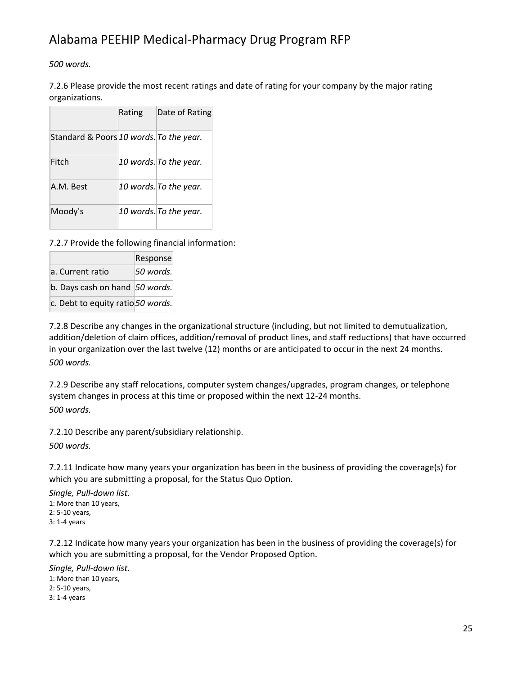*500 words.*

7.2.6 Please provide the most recent ratings and date of rating for your company by the major rating organizations.

|                                         | Rating | Date of Rating         |
|-----------------------------------------|--------|------------------------|
| Standard & Poors 10 words. To the year. |        |                        |
| Fitch                                   |        | 10 words. To the year. |
| A.M. Best                               |        | 10 words. To the year. |
| Moody's                                 |        | 10 words. To the year. |

7.2.7 Provide the following financial information:

|                                   | Response  |
|-----------------------------------|-----------|
| a. Current ratio                  | 50 words. |
| b. Days cash on hand 50 words.    |           |
| c. Debt to equity ratio 50 words. |           |

7.2.8 Describe any changes in the organizational structure (including, but not limited to demutualization, addition/deletion of claim offices, addition/removal of product lines, and staff reductions) that have occurred in your organization over the last twelve (12) months or are anticipated to occur in the next 24 months. *500 words.*

7.2.9 Describe any staff relocations, computer system changes/upgrades, program changes, or telephone system changes in process at this time or proposed within the next 12-24 months. *500 words.*

7.2.10 Describe any parent/subsidiary relationship.

*500 words.*

7.2.11 Indicate how many years your organization has been in the business of providing the coverage(s) for which you are submitting a proposal, for the Status Quo Option.

*Single, Pull-down list.* 1: More than 10 years, 2: 5-10 years, 3: 1-4 years

7.2.12 Indicate how many years your organization has been in the business of providing the coverage(s) for which you are submitting a proposal, for the Vendor Proposed Option.

*Single, Pull-down list.* 1: More than 10 years, 2: 5-10 years, 3: 1-4 years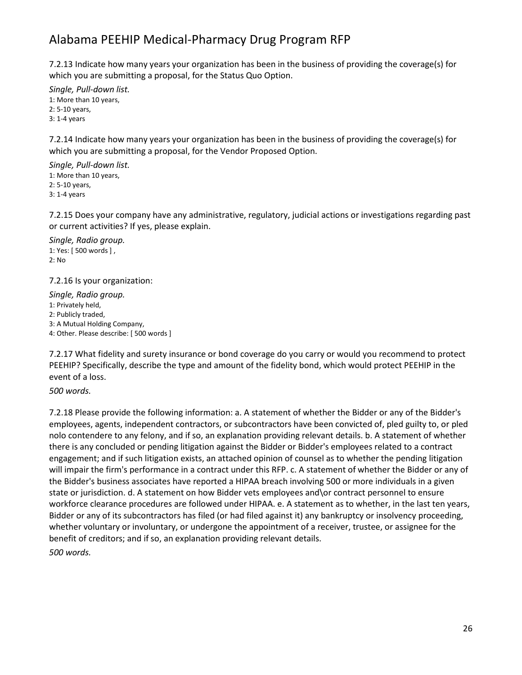7.2.13 Indicate how many years your organization has been in the business of providing the coverage(s) for which you are submitting a proposal, for the Status Quo Option.

*Single, Pull-down list.* 1: More than 10 years, 2: 5-10 years, 3: 1-4 years

7.2.14 Indicate how many years your organization has been in the business of providing the coverage(s) for which you are submitting a proposal, for the Vendor Proposed Option.

*Single, Pull-down list.* 1: More than 10 years, 2: 5-10 years, 3: 1-4 years

7.2.15 Does your company have any administrative, regulatory, judicial actions or investigations regarding past or current activities? If yes, please explain.

*Single, Radio group.* 1: Yes: [ 500 words ] , 2: No

7.2.16 Is your organization:

*Single, Radio group.* 1: Privately held, 2: Publicly traded, 3: A Mutual Holding Company, 4: Other. Please describe: [ 500 words ]

7.2.17 What fidelity and surety insurance or bond coverage do you carry or would you recommend to protect PEEHIP? Specifically, describe the type and amount of the fidelity bond, which would protect PEEHIP in the event of a loss.

*500 words.*

7.2.18 Please provide the following information: a. A statement of whether the Bidder or any of the Bidder's employees, agents, independent contractors, or subcontractors have been convicted of, pled guilty to, or pled nolo contendere to any felony, and if so, an explanation providing relevant details. b. A statement of whether there is any concluded or pending litigation against the Bidder or Bidder's employees related to a contract engagement; and if such litigation exists, an attached opinion of counsel as to whether the pending litigation will impair the firm's performance in a contract under this RFP. c. A statement of whether the Bidder or any of the Bidder's business associates have reported a HIPAA breach involving 500 or more individuals in a given state or jurisdiction. d. A statement on how Bidder vets employees and\or contract personnel to ensure workforce clearance procedures are followed under HIPAA. e. A statement as to whether, in the last ten years, Bidder or any of its subcontractors has filed (or had filed against it) any bankruptcy or insolvency proceeding, whether voluntary or involuntary, or undergone the appointment of a receiver, trustee, or assignee for the benefit of creditors; and if so, an explanation providing relevant details. *500 words.*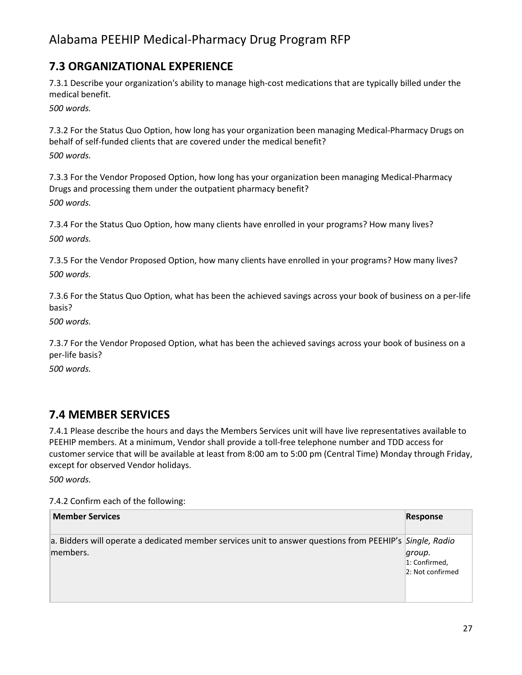## **7.3 ORGANIZATIONAL EXPERIENCE**

7.3.1 Describe your organization's ability to manage high-cost medications that are typically billed under the medical benefit.

*500 words.*

7.3.2 For the Status Quo Option, how long has your organization been managing Medical-Pharmacy Drugs on behalf of self-funded clients that are covered under the medical benefit? *500 words.*

7.3.3 For the Vendor Proposed Option, how long has your organization been managing Medical-Pharmacy Drugs and processing them under the outpatient pharmacy benefit? *500 words.*

7.3.4 For the Status Quo Option, how many clients have enrolled in your programs? How many lives? *500 words.*

7.3.5 For the Vendor Proposed Option, how many clients have enrolled in your programs? How many lives? *500 words.*

7.3.6 For the Status Quo Option, what has been the achieved savings across your book of business on a per-life basis?

*500 words.*

7.3.7 For the Vendor Proposed Option, what has been the achieved savings across your book of business on a per-life basis?

*500 words.*

### **7.4 MEMBER SERVICES**

7.4.1 Please describe the hours and days the Members Services unit will have live representatives available to PEEHIP members. At a minimum, Vendor shall provide a toll-free telephone number and TDD access for customer service that will be available at least from 8:00 am to 5:00 pm (Central Time) Monday through Friday, except for observed Vendor holidays.

*500 words.*

7.4.2 Confirm each of the following:

| <b>Member Services</b>                                                                                               | Response                                    |
|----------------------------------------------------------------------------------------------------------------------|---------------------------------------------|
| a. Bidders will operate a dedicated member services unit to answer questions from PEEHIP's Single, Radio<br>members. | group.<br>1: Confirmed,<br>2: Not confirmed |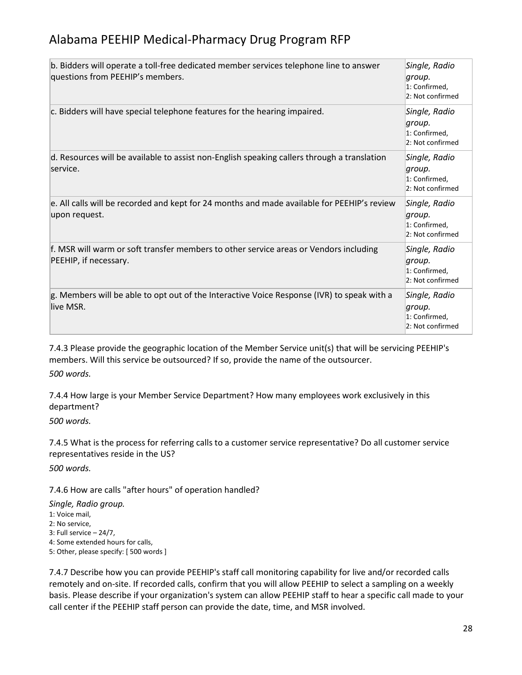| b. Bidders will operate a toll-free dedicated member services telephone line to answer<br>questions from PEEHIP's members. | Single, Radio<br>group.<br>1: Confirmed,<br>2: Not confirmed |
|----------------------------------------------------------------------------------------------------------------------------|--------------------------------------------------------------|
| c. Bidders will have special telephone features for the hearing impaired.                                                  | Single, Radio<br>group.<br>1: Confirmed,<br>2: Not confirmed |
| d. Resources will be available to assist non-English speaking callers through a translation<br>service.                    | Single, Radio<br>group.<br>1: Confirmed,<br>2: Not confirmed |
| e. All calls will be recorded and kept for 24 months and made available for PEEHIP's review<br>upon request.               | Single, Radio<br>group.<br>1: Confirmed,<br>2: Not confirmed |
| f. MSR will warm or soft transfer members to other service areas or Vendors including<br>PEEHIP, if necessary.             | Single, Radio<br>group.<br>1: Confirmed,<br>2: Not confirmed |
| g. Members will be able to opt out of the Interactive Voice Response (IVR) to speak with a<br>live MSR.                    | Single, Radio<br>group.<br>1: Confirmed,<br>2: Not confirmed |

7.4.3 Please provide the geographic location of the Member Service unit(s) that will be servicing PEEHIP's members. Will this service be outsourced? If so, provide the name of the outsourcer. *500 words.*

7.4.4 How large is your Member Service Department? How many employees work exclusively in this department?

*500 words.*

7.4.5 What is the process for referring calls to a customer service representative? Do all customer service representatives reside in the US?

*500 words.*

7.4.6 How are calls "after hours" of operation handled?

*Single, Radio group.* 1: Voice mail, 2: No service, 3: Full service – 24/7, 4: Some extended hours for calls, 5: Other, please specify: [ 500 words ]

7.4.7 Describe how you can provide PEEHIP's staff call monitoring capability for live and/or recorded calls remotely and on-site. If recorded calls, confirm that you will allow PEEHIP to select a sampling on a weekly basis. Please describe if your organization's system can allow PEEHIP staff to hear a specific call made to your call center if the PEEHIP staff person can provide the date, time, and MSR involved.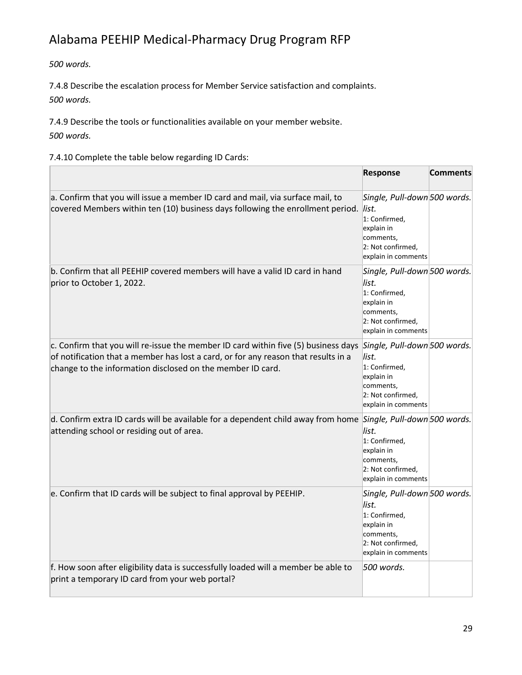*500 words.*

7.4.8 Describe the escalation process for Member Service satisfaction and complaints. *500 words.*

7.4.9 Describe the tools or functionalities available on your member website. *500 words.*

7.4.10 Complete the table below regarding ID Cards:

|                                                                                                                                                                                                                                                                     | <b>Response</b>                                                                                                               | <b>Comments</b> |
|---------------------------------------------------------------------------------------------------------------------------------------------------------------------------------------------------------------------------------------------------------------------|-------------------------------------------------------------------------------------------------------------------------------|-----------------|
| a. Confirm that you will issue a member ID card and mail, via surface mail, to<br>covered Members within ten (10) business days following the enrollment period.                                                                                                    | Single, Pull-down 500 words.<br>list.<br>1: Confirmed,<br>explain in<br>comments,<br>2: Not confirmed,<br>explain in comments |                 |
| b. Confirm that all PEEHIP covered members will have a valid ID card in hand<br>prior to October 1, 2022.                                                                                                                                                           | Single, Pull-down 500 words.<br>list.<br>1: Confirmed,<br>explain in<br>comments,<br>2: Not confirmed,<br>explain in comments |                 |
| c. Confirm that you will re-issue the member ID card within five (5) business days Single, Pull-down 500 words.<br>of notification that a member has lost a card, or for any reason that results in a<br>change to the information disclosed on the member ID card. | list.<br>1: Confirmed,<br>explain in<br>comments,<br>2: Not confirmed,<br>explain in comments                                 |                 |
| d. Confirm extra ID cards will be available for a dependent child away from home Single, Pull-down 500 words.<br>attending school or residing out of area.                                                                                                          | list.<br>1: Confirmed,<br>explain in<br>comments,<br>2: Not confirmed,<br>explain in comments                                 |                 |
| e. Confirm that ID cards will be subject to final approval by PEEHIP.                                                                                                                                                                                               | Single, Pull-down 500 words.<br>list.<br>1: Confirmed,<br>explain in<br>comments,<br>2: Not confirmed,<br>explain in comments |                 |
| f. How soon after eligibility data is successfully loaded will a member be able to<br>print a temporary ID card from your web portal?                                                                                                                               | 500 words.                                                                                                                    |                 |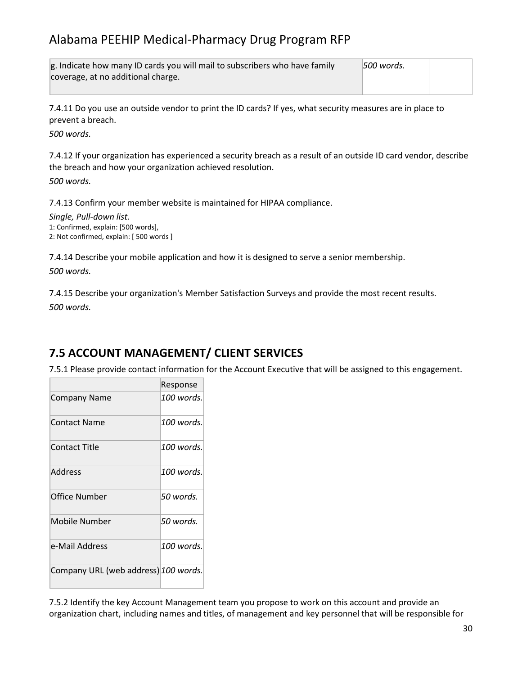| g. Indicate how many ID cards you will mail to subscribers who have family | 1500 words. |  |
|----------------------------------------------------------------------------|-------------|--|
| coverage, at no additional charge.                                         |             |  |
|                                                                            |             |  |

7.4.11 Do you use an outside vendor to print the ID cards? If yes, what security measures are in place to prevent a breach.

*500 words.*

7.4.12 If your organization has experienced a security breach as a result of an outside ID card vendor, describe the breach and how your organization achieved resolution.

*500 words.*

7.4.13 Confirm your member website is maintained for HIPAA compliance.

*Single, Pull-down list.* 1: Confirmed, explain: [500 words], 2: Not confirmed, explain: [ 500 words ]

7.4.14 Describe your mobile application and how it is designed to serve a senior membership.

*500 words.*

7.4.15 Describe your organization's Member Satisfaction Surveys and provide the most recent results. *500 words.*

## **7.5 ACCOUNT MANAGEMENT/ CLIENT SERVICES**

7.5.1 Please provide contact information for the Account Executive that will be assigned to this engagement.

|                                      | Response   |
|--------------------------------------|------------|
| <b>Company Name</b>                  | 100 words. |
| Contact Name                         | 100 words. |
| Contact Title                        | 100 words. |
| Address                              | 100 words. |
| Office Number                        | 50 words.  |
| Mobile Number                        | 50 words.  |
| e-Mail Address                       | 100 words. |
| Company URL (web address) 100 words. |            |

7.5.2 Identify the key Account Management team you propose to work on this account and provide an organization chart, including names and titles, of management and key personnel that will be responsible for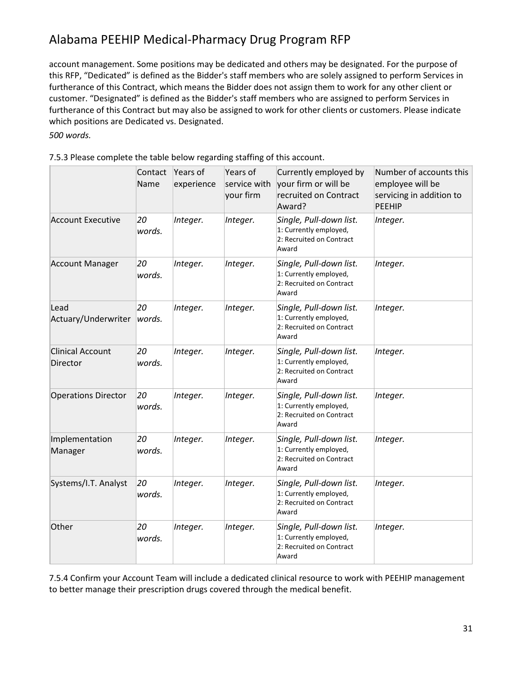account management. Some positions may be dedicated and others may be designated. For the purpose of this RFP, "Dedicated" is defined as the Bidder's staff members who are solely assigned to perform Services in furtherance of this Contract, which means the Bidder does not assign them to work for any other client or customer. "Designated" is defined as the Bidder's staff members who are assigned to perform Services in furtherance of this Contract but may also be assigned to work for other clients or customers. Please indicate which positions are Dedicated vs. Designated.

*500 words.*

|                                     | Contact<br>Name | Years of<br>experience | Years of<br>service with<br>your firm | Currently employed by<br>your firm or will be<br>recruited on Contract<br>Award?       | Number of accounts this<br>employee will be<br>servicing in addition to<br><b>PEEHIP</b> |
|-------------------------------------|-----------------|------------------------|---------------------------------------|----------------------------------------------------------------------------------------|------------------------------------------------------------------------------------------|
| <b>Account Executive</b>            | 20<br>words.    | Integer.               | Integer.                              | Single, Pull-down list.<br>1: Currently employed,<br>2: Recruited on Contract<br>Award | Integer.                                                                                 |
| <b>Account Manager</b>              | 20<br>words.    | Integer.               | Integer.                              | Single, Pull-down list.<br>1: Currently employed,<br>2: Recruited on Contract<br>Award | Integer.                                                                                 |
| Lead<br>Actuary/Underwriter         | 20<br>words.    | Integer.               | Integer.                              | Single, Pull-down list.<br>1: Currently employed,<br>2: Recruited on Contract<br>Award | Integer.                                                                                 |
| <b>Clinical Account</b><br>Director | 20<br>words.    | Integer.               | Integer.                              | Single, Pull-down list.<br>1: Currently employed,<br>2: Recruited on Contract<br>Award | Integer.                                                                                 |
| <b>Operations Director</b>          | 20<br>words.    | Integer.               | Integer.                              | Single, Pull-down list.<br>1: Currently employed,<br>2: Recruited on Contract<br>Award | Integer.                                                                                 |
| Implementation<br>Manager           | 20<br>words.    | Integer.               | Integer.                              | Single, Pull-down list.<br>1: Currently employed,<br>2: Recruited on Contract<br>Award | Integer.                                                                                 |
| Systems/I.T. Analyst                | 20<br>words.    | Integer.               | Integer.                              | Single, Pull-down list.<br>1: Currently employed,<br>2: Recruited on Contract<br>Award | Integer.                                                                                 |
| Other                               | 20<br>words.    | Integer.               | Integer.                              | Single, Pull-down list.<br>1: Currently employed,<br>2: Recruited on Contract<br>Award | Integer.                                                                                 |

7.5.3 Please complete the table below regarding staffing of this account.

7.5.4 Confirm your Account Team will include a dedicated clinical resource to work with PEEHIP management to better manage their prescription drugs covered through the medical benefit.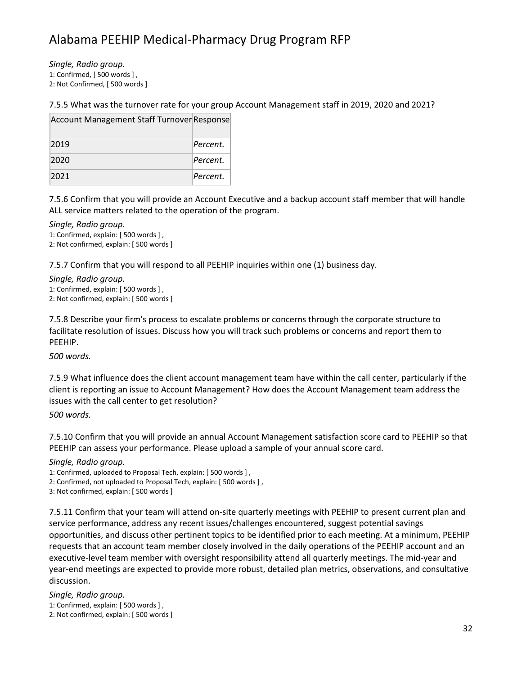*Single, Radio group.*

1: Confirmed, [ 500 words ] ,

2: Not Confirmed, [ 500 words ]

#### 7.5.5 What was the turnover rate for your group Account Management staff in 2019, 2020 and 2021?

| Account Management Staff Turnover Response |          |
|--------------------------------------------|----------|
| 2019                                       | Percent. |
| 2020                                       | Percent. |
| 2021                                       | Percent. |

7.5.6 Confirm that you will provide an Account Executive and a backup account staff member that will handle ALL service matters related to the operation of the program.

*Single, Radio group.*

1: Confirmed, explain: [ 500 words ] , 2: Not confirmed, explain: [ 500 words ]

7.5.7 Confirm that you will respond to all PEEHIP inquiries within one (1) business day.

*Single, Radio group.* 1: Confirmed, explain: [ 500 words ] ,

2: Not confirmed, explain: [ 500 words ]

7.5.8 Describe your firm's process to escalate problems or concerns through the corporate structure to facilitate resolution of issues. Discuss how you will track such problems or concerns and report them to PEEHIP.

*500 words.*

7.5.9 What influence does the client account management team have within the call center, particularly if the client is reporting an issue to Account Management? How does the Account Management team address the issues with the call center to get resolution?

*500 words.*

7.5.10 Confirm that you will provide an annual Account Management satisfaction score card to PEEHIP so that PEEHIP can assess your performance. Please upload a sample of your annual score card.

*Single, Radio group.*

1: Confirmed, uploaded to Proposal Tech, explain: [ 500 words ] ,

2: Confirmed, not uploaded to Proposal Tech, explain: [ 500 words ] ,

3: Not confirmed, explain: [ 500 words ]

7.5.11 Confirm that your team will attend on-site quarterly meetings with PEEHIP to present current plan and service performance, address any recent issues/challenges encountered, suggest potential savings opportunities, and discuss other pertinent topics to be identified prior to each meeting. At a minimum, PEEHIP requests that an account team member closely involved in the daily operations of the PEEHIP account and an executive-level team member with oversight responsibility attend all quarterly meetings. The mid-year and year-end meetings are expected to provide more robust, detailed plan metrics, observations, and consultative discussion.

*Single, Radio group.*

1: Confirmed, explain: [ 500 words ] , 2: Not confirmed, explain: [ 500 words ]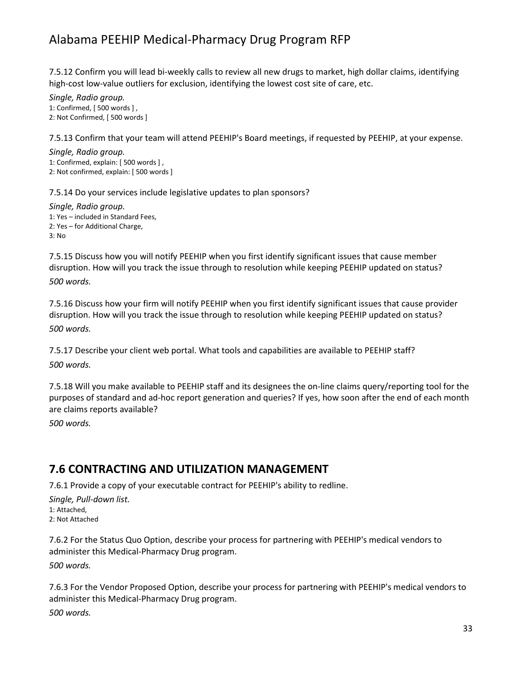7.5.12 Confirm you will lead bi-weekly calls to review all new drugs to market, high dollar claims, identifying high-cost low-value outliers for exclusion, identifying the lowest cost site of care, etc.

*Single, Radio group.* 1: Confirmed, [ 500 words ] , 2: Not Confirmed, [ 500 words ]

7.5.13 Confirm that your team will attend PEEHIP's Board meetings, if requested by PEEHIP, at your expense.

*Single, Radio group.* 1: Confirmed, explain: [ 500 words ] , 2: Not confirmed, explain: [ 500 words ]

7.5.14 Do your services include legislative updates to plan sponsors?

*Single, Radio group.* 1: Yes – included in Standard Fees, 2: Yes – for Additional Charge, 3: No

7.5.15 Discuss how you will notify PEEHIP when you first identify significant issues that cause member disruption. How will you track the issue through to resolution while keeping PEEHIP updated on status? *500 words.*

7.5.16 Discuss how your firm will notify PEEHIP when you first identify significant issues that cause provider disruption. How will you track the issue through to resolution while keeping PEEHIP updated on status? *500 words.*

7.5.17 Describe your client web portal. What tools and capabilities are available to PEEHIP staff? *500 words.*

7.5.18 Will you make available to PEEHIP staff and its designees the on-line claims query/reporting tool for the purposes of standard and ad-hoc report generation and queries? If yes, how soon after the end of each month are claims reports available?

*500 words.*

### **7.6 CONTRACTING AND UTILIZATION MANAGEMENT**

7.6.1 Provide a copy of your executable contract for PEEHIP's ability to redline.

*Single, Pull-down list.* 1: Attached, 2: Not Attached

7.6.2 For the Status Quo Option, describe your process for partnering with PEEHIP's medical vendors to administer this Medical-Pharmacy Drug program. *500 words.*

7.6.3 For the Vendor Proposed Option, describe your process for partnering with PEEHIP's medical vendors to administer this Medical-Pharmacy Drug program.

*500 words.*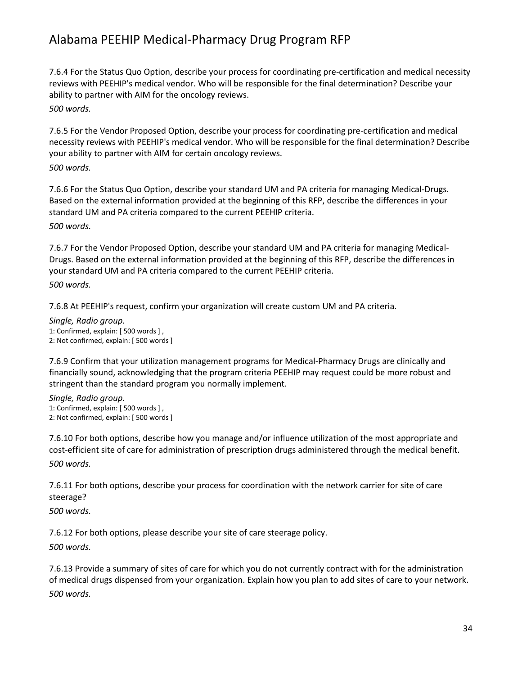7.6.4 For the Status Quo Option, describe your process for coordinating pre-certification and medical necessity reviews with PEEHIP's medical vendor. Who will be responsible for the final determination? Describe your ability to partner with AIM for the oncology reviews. *500 words.*

7.6.5 For the Vendor Proposed Option, describe your process for coordinating pre-certification and medical necessity reviews with PEEHIP's medical vendor. Who will be responsible for the final determination? Describe your ability to partner with AIM for certain oncology reviews.

*500 words.*

7.6.6 For the Status Quo Option, describe your standard UM and PA criteria for managing Medical-Drugs. Based on the external information provided at the beginning of this RFP, describe the differences in your standard UM and PA criteria compared to the current PEEHIP criteria. *500 words.*

7.6.7 For the Vendor Proposed Option, describe your standard UM and PA criteria for managing Medical-Drugs. Based on the external information provided at the beginning of this RFP, describe the differences in your standard UM and PA criteria compared to the current PEEHIP criteria. *500 words.*

7.6.8 At PEEHIP's request, confirm your organization will create custom UM and PA criteria.

*Single, Radio group.* 1: Confirmed, explain: [ 500 words ] , 2: Not confirmed, explain: [ 500 words ]

7.6.9 Confirm that your utilization management programs for Medical-Pharmacy Drugs are clinically and financially sound, acknowledging that the program criteria PEEHIP may request could be more robust and stringent than the standard program you normally implement.

*Single, Radio group.* 1: Confirmed, explain: [ 500 words ] , 2: Not confirmed, explain: [ 500 words ]

7.6.10 For both options, describe how you manage and/or influence utilization of the most appropriate and cost-efficient site of care for administration of prescription drugs administered through the medical benefit. *500 words.*

7.6.11 For both options, describe your process for coordination with the network carrier for site of care steerage?

*500 words.*

7.6.12 For both options, please describe your site of care steerage policy.

*500 words.*

7.6.13 Provide a summary of sites of care for which you do not currently contract with for the administration of medical drugs dispensed from your organization. Explain how you plan to add sites of care to your network. *500 words.*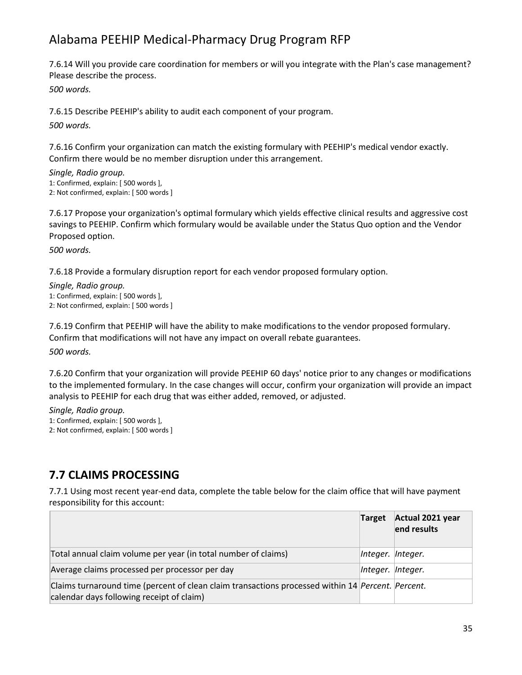7.6.14 Will you provide care coordination for members or will you integrate with the Plan's case management? Please describe the process.

*500 words.*

7.6.15 Describe PEEHIP's ability to audit each component of your program.

*500 words.*

7.6.16 Confirm your organization can match the existing formulary with PEEHIP's medical vendor exactly. Confirm there would be no member disruption under this arrangement.

*Single, Radio group.* 1: Confirmed, explain: [ 500 words ], 2: Not confirmed, explain: [ 500 words ]

7.6.17 Propose your organization's optimal formulary which yields effective clinical results and aggressive cost savings to PEEHIP. Confirm which formulary would be available under the Status Quo option and the Vendor Proposed option.

*500 words.*

7.6.18 Provide a formulary disruption report for each vendor proposed formulary option.

*Single, Radio group.* 1: Confirmed, explain: [ 500 words ], 2: Not confirmed, explain: [ 500 words ]

7.6.19 Confirm that PEEHIP will have the ability to make modifications to the vendor proposed formulary. Confirm that modifications will not have any impact on overall rebate guarantees.

*500 words.*

7.6.20 Confirm that your organization will provide PEEHIP 60 days' notice prior to any changes or modifications to the implemented formulary. In the case changes will occur, confirm your organization will provide an impact analysis to PEEHIP for each drug that was either added, removed, or adjusted.

*Single, Radio group.* 1: Confirmed, explain: [ 500 words ], 2: Not confirmed, explain: [ 500 words ]

## **7.7 CLAIMS PROCESSING**

7.7.1 Using most recent year-end data, complete the table below for the claim office that will have payment responsibility for this account:

|                                                                                                                                                | Target            | Actual 2021 year<br>end results |
|------------------------------------------------------------------------------------------------------------------------------------------------|-------------------|---------------------------------|
| Total annual claim volume per year (in total number of claims)                                                                                 | Integer. Integer. |                                 |
| Average claims processed per processor per day                                                                                                 | Integer. Integer. |                                 |
| Claims turnaround time (percent of clean claim transactions processed within 14 Percent. Percent.<br>calendar days following receipt of claim) |                   |                                 |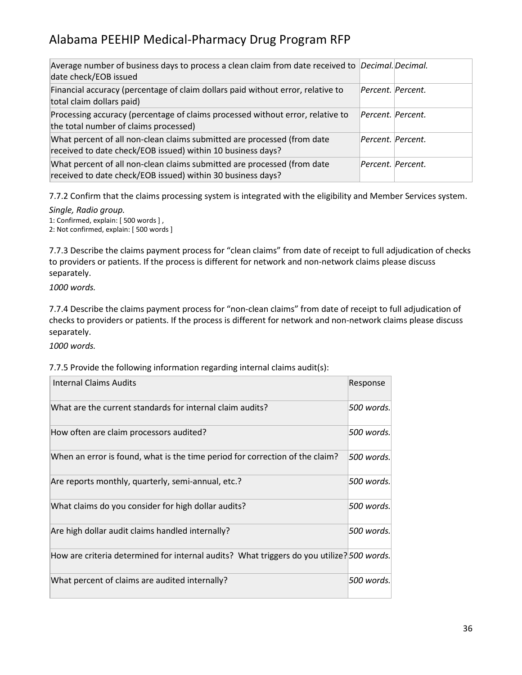| Average number of business days to process a clean claim from date received to <i>Decimal. Decimal.</i><br>date check/EOB issued       |                   |  |
|----------------------------------------------------------------------------------------------------------------------------------------|-------------------|--|
| Financial accuracy (percentage of claim dollars paid without error, relative to<br>total claim dollars paid)                           | Percent. Percent. |  |
| Processing accuracy (percentage of claims processed without error, relative to<br>the total number of claims processed)                | Percent. Percent. |  |
| What percent of all non-clean claims submitted are processed (from date<br>received to date check/EOB issued) within 10 business days? | Percent. Percent. |  |
| What percent of all non-clean claims submitted are processed (from date<br>received to date check/EOB issued) within 30 business days? | Percent. Percent. |  |

7.7.2 Confirm that the claims processing system is integrated with the eligibility and Member Services system.

*Single, Radio group.* 1: Confirmed, explain: [ 500 words ] ,

2: Not confirmed, explain: [ 500 words ]

7.7.3 Describe the claims payment process for "clean claims" from date of receipt to full adjudication of checks to providers or patients. If the process is different for network and non-network claims please discuss separately.

*1000 words.*

7.7.4 Describe the claims payment process for "non-clean claims" from date of receipt to full adjudication of checks to providers or patients. If the process is different for network and non-network claims please discuss separately.

*1000 words.*

#### 7.7.5 Provide the following information regarding internal claims audit(s):

| <b>Internal Claims Audits</b>                                                             | Response   |
|-------------------------------------------------------------------------------------------|------------|
| What are the current standards for internal claim audits?                                 | 500 words. |
| How often are claim processors audited?                                                   | 500 words. |
| When an error is found, what is the time period for correction of the claim?              | 500 words. |
| Are reports monthly, quarterly, semi-annual, etc.?                                        | 500 words. |
| What claims do you consider for high dollar audits?                                       | 500 words. |
| Are high dollar audit claims handled internally?                                          | 500 words. |
| How are criteria determined for internal audits? What triggers do you utilize? 500 words. |            |
| What percent of claims are audited internally?                                            | 500 words. |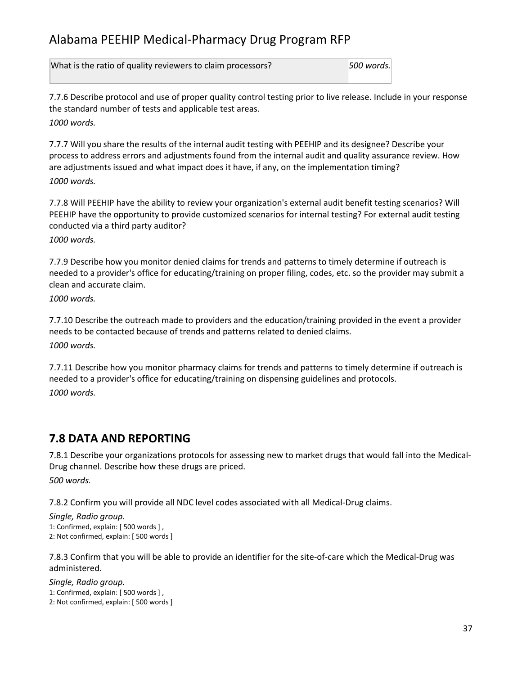What is the ratio of quality reviewers to claim processors? *500 words.*

7.7.6 Describe protocol and use of proper quality control testing prior to live release. Include in your response the standard number of tests and applicable test areas. *1000 words.*

7.7.7 Will you share the results of the internal audit testing with PEEHIP and its designee? Describe your process to address errors and adjustments found from the internal audit and quality assurance review. How are adjustments issued and what impact does it have, if any, on the implementation timing? *1000 words.*

7.7.8 Will PEEHIP have the ability to review your organization's external audit benefit testing scenarios? Will PEEHIP have the opportunity to provide customized scenarios for internal testing? For external audit testing conducted via a third party auditor?

*1000 words.*

7.7.9 Describe how you monitor denied claims for trends and patterns to timely determine if outreach is needed to a provider's office for educating/training on proper filing, codes, etc. so the provider may submit a clean and accurate claim.

*1000 words.*

7.7.10 Describe the outreach made to providers and the education/training provided in the event a provider needs to be contacted because of trends and patterns related to denied claims. *1000 words.*

7.7.11 Describe how you monitor pharmacy claims for trends and patterns to timely determine if outreach is needed to a provider's office for educating/training on dispensing guidelines and protocols. *1000 words.*

## **7.8 DATA AND REPORTING**

7.8.1 Describe your organizations protocols for assessing new to market drugs that would fall into the Medical-Drug channel. Describe how these drugs are priced. *500 words.*

7.8.2 Confirm you will provide all NDC level codes associated with all Medical-Drug claims.

```
Single, Radio group.
1: Confirmed, explain: [ 500 words ] ,
2: Not confirmed, explain: [ 500 words ]
```
7.8.3 Confirm that you will be able to provide an identifier for the site-of-care which the Medical-Drug was administered.

*Single, Radio group.* 1: Confirmed, explain: [ 500 words ] , 2: Not confirmed, explain: [ 500 words ]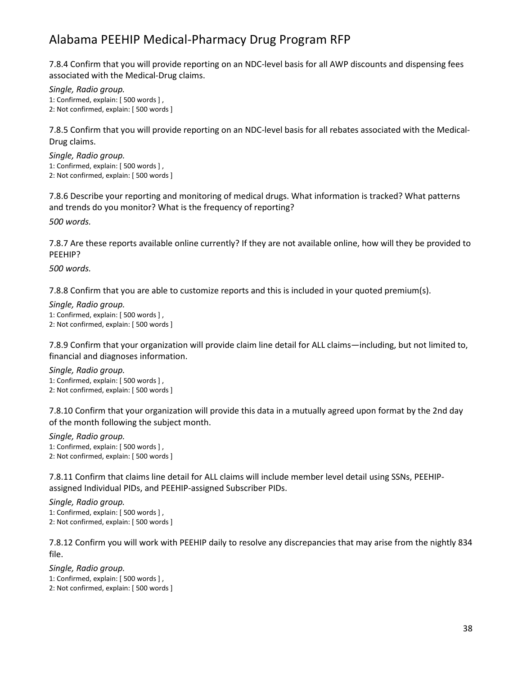7.8.4 Confirm that you will provide reporting on an NDC-level basis for all AWP discounts and dispensing fees associated with the Medical-Drug claims.

*Single, Radio group.* 1: Confirmed, explain: [ 500 words ] , 2: Not confirmed, explain: [ 500 words ]

7.8.5 Confirm that you will provide reporting on an NDC-level basis for all rebates associated with the Medical-Drug claims.

*Single, Radio group.* 1: Confirmed, explain: [ 500 words ] , 2: Not confirmed, explain: [ 500 words ]

7.8.6 Describe your reporting and monitoring of medical drugs. What information is tracked? What patterns and trends do you monitor? What is the frequency of reporting?

*500 words.*

7.8.7 Are these reports available online currently? If they are not available online, how will they be provided to PEEHIP?

*500 words.*

7.8.8 Confirm that you are able to customize reports and this is included in your quoted premium(s).

*Single, Radio group.* 1: Confirmed, explain: [ 500 words ] , 2: Not confirmed, explain: [ 500 words ]

7.8.9 Confirm that your organization will provide claim line detail for ALL claims—including, but not limited to, financial and diagnoses information.

*Single, Radio group.* 1: Confirmed, explain: [ 500 words ] , 2: Not confirmed, explain: [ 500 words ]

7.8.10 Confirm that your organization will provide this data in a mutually agreed upon format by the 2nd day of the month following the subject month.

*Single, Radio group.* 1: Confirmed, explain: [ 500 words ] , 2: Not confirmed, explain: [ 500 words ]

7.8.11 Confirm that claims line detail for ALL claims will include member level detail using SSNs, PEEHIPassigned Individual PIDs, and PEEHIP-assigned Subscriber PIDs.

*Single, Radio group.* 1: Confirmed, explain: [ 500 words ] , 2: Not confirmed, explain: [ 500 words ]

7.8.12 Confirm you will work with PEEHIP daily to resolve any discrepancies that may arise from the nightly 834 file.

*Single, Radio group.* 1: Confirmed, explain: [ 500 words ] , 2: Not confirmed, explain: [ 500 words ]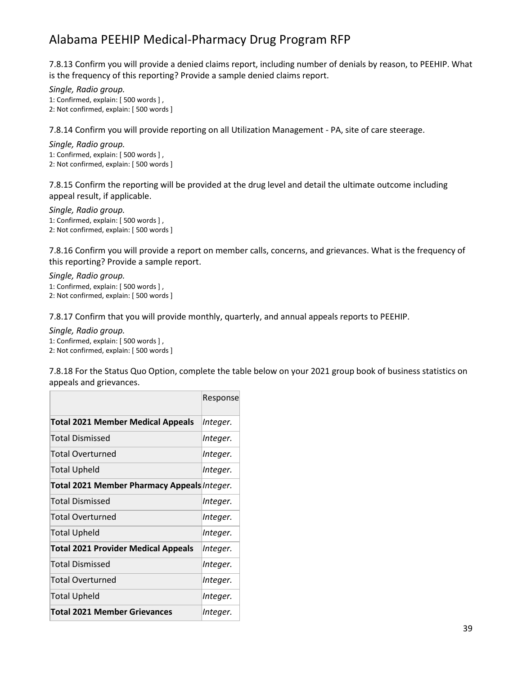7.8.13 Confirm you will provide a denied claims report, including number of denials by reason, to PEEHIP. What is the frequency of this reporting? Provide a sample denied claims report.

*Single, Radio group.* 1: Confirmed, explain: [ 500 words ] , 2: Not confirmed, explain: [ 500 words ]

7.8.14 Confirm you will provide reporting on all Utilization Management - PA, site of care steerage.

*Single, Radio group.* 1: Confirmed, explain: [ 500 words ] , 2: Not confirmed, explain: [ 500 words ]

7.8.15 Confirm the reporting will be provided at the drug level and detail the ultimate outcome including appeal result, if applicable.

*Single, Radio group.* 1: Confirmed, explain: [ 500 words ] , 2: Not confirmed, explain: [ 500 words ]

7.8.16 Confirm you will provide a report on member calls, concerns, and grievances. What is the frequency of this reporting? Provide a sample report.

*Single, Radio group.* 1: Confirmed, explain: [ 500 words ] , 2: Not confirmed, explain: [ 500 words ]

7.8.17 Confirm that you will provide monthly, quarterly, and annual appeals reports to PEEHIP.

*Single, Radio group.*

1: Confirmed, explain: [ 500 words ] , 2: Not confirmed, explain: [ 500 words ]

7.8.18 For the Status Quo Option, complete the table below on your 2021 group book of business statistics on appeals and grievances.

|                                             | Response |
|---------------------------------------------|----------|
| <b>Total 2021 Member Medical Appeals</b>    | Integer. |
| Total Dismissed                             | Integer. |
| Total Overturned                            | Integer. |
| Total Upheld                                | Integer. |
| Total 2021 Member Pharmacy Appeals Integer. |          |
| Total Dismissed                             | Integer. |
| Total Overturned                            | Integer. |
| Total Upheld                                | Integer. |
| <b>Total 2021 Provider Medical Appeals</b>  | Integer. |
| Total Dismissed                             | Integer. |
| Total Overturned                            | Integer. |
| <b>Total Upheld</b>                         | Integer. |
| <b>Total 2021 Member Grievances</b>         | Integer. |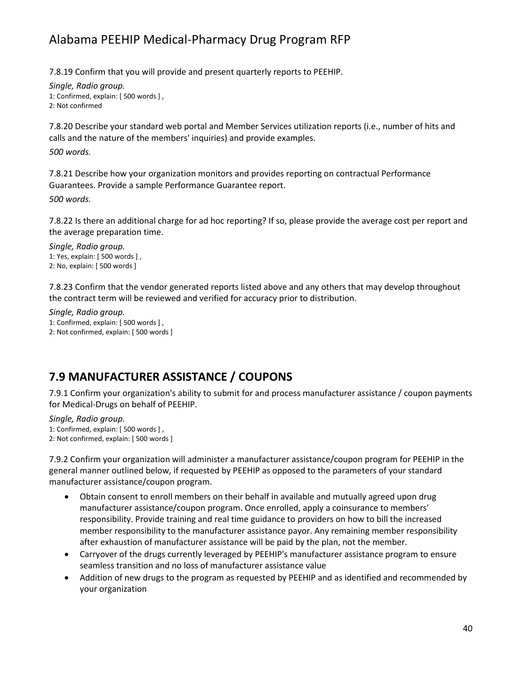7.8.19 Confirm that you will provide and present quarterly reports to PEEHIP.

*Single, Radio group.* 1: Confirmed, explain: [ 500 words ] , 2: Not confirmed

7.8.20 Describe your standard web portal and Member Services utilization reports (i.e., number of hits and calls and the nature of the members' inquiries) and provide examples.

*500 words.*

7.8.21 Describe how your organization monitors and provides reporting on contractual Performance Guarantees. Provide a sample Performance Guarantee report.

*500 words.*

7.8.22 Is there an additional charge for ad hoc reporting? If so, please provide the average cost per report and the average preparation time.

*Single, Radio group.* 1: Yes, explain: [ 500 words ] , 2: No, explain: [ 500 words ]

7.8.23 Confirm that the vendor generated reports listed above and any others that may develop throughout the contract term will be reviewed and verified for accuracy prior to distribution.

*Single, Radio group.* 1: Confirmed, explain: [ 500 words ] , 2: Not confirmed, explain: [ 500 words ]

## **7.9 MANUFACTURER ASSISTANCE / COUPONS**

7.9.1 Confirm your organization's ability to submit for and process manufacturer assistance / coupon payments for Medical-Drugs on behalf of PEEHIP.

*Single, Radio group.* 1: Confirmed, explain: [ 500 words ] , 2: Not confirmed, explain: [ 500 words ]

7.9.2 Confirm your organization will administer a manufacturer assistance/coupon program for PEEHIP in the general manner outlined below, if requested by PEEHIP as opposed to the parameters of your standard manufacturer assistance/coupon program.

- Obtain consent to enroll members on their behalf in available and mutually agreed upon drug manufacturer assistance/coupon program. Once enrolled, apply a coinsurance to members' responsibility. Provide training and real time guidance to providers on how to bill the increased member responsibility to the manufacturer assistance payor. Any remaining member responsibility after exhaustion of manufacturer assistance will be paid by the plan, not the member.
- Carryover of the drugs currently leveraged by PEEHIP's manufacturer assistance program to ensure seamless transition and no loss of manufacturer assistance value
- Addition of new drugs to the program as requested by PEEHIP and as identified and recommended by your organization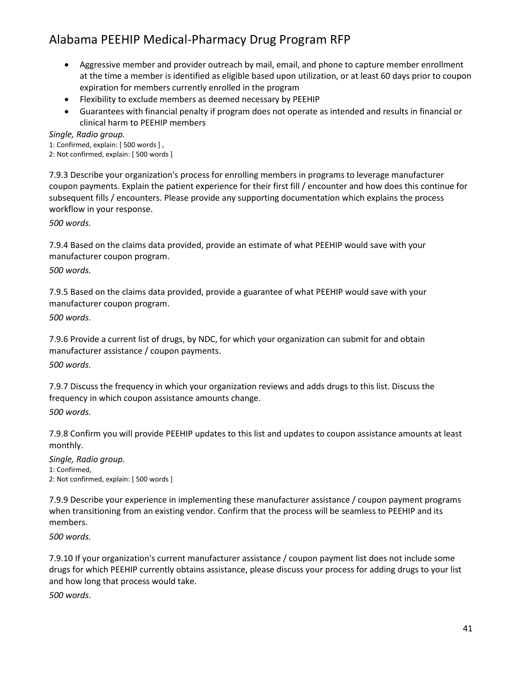- Aggressive member and provider outreach by mail, email, and phone to capture member enrollment at the time a member is identified as eligible based upon utilization, or at least 60 days prior to coupon expiration for members currently enrolled in the program
- Flexibility to exclude members as deemed necessary by PEEHIP
- Guarantees with financial penalty if program does not operate as intended and results in financial or clinical harm to PEEHIP members

*Single, Radio group.*

1: Confirmed, explain: [ 500 words ] ,

2: Not confirmed, explain: [ 500 words ]

7.9.3 Describe your organization's process for enrolling members in programs to leverage manufacturer coupon payments. Explain the patient experience for their first fill / encounter and how does this continue for subsequent fills / encounters. Please provide any supporting documentation which explains the process workflow in your response.

*500 words.*

7.9.4 Based on the claims data provided, provide an estimate of what PEEHIP would save with your manufacturer coupon program.

*500 words.*

7.9.5 Based on the claims data provided, provide a guarantee of what PEEHIP would save with your manufacturer coupon program.

*500 words.*

7.9.6 Provide a current list of drugs, by NDC, for which your organization can submit for and obtain manufacturer assistance / coupon payments.

*500 words.*

7.9.7 Discuss the frequency in which your organization reviews and adds drugs to this list. Discuss the frequency in which coupon assistance amounts change.

*500 words.*

7.9.8 Confirm you will provide PEEHIP updates to this list and updates to coupon assistance amounts at least monthly.

*Single, Radio group.* 1: Confirmed, 2: Not confirmed, explain: [ 500 words ]

7.9.9 Describe your experience in implementing these manufacturer assistance / coupon payment programs when transitioning from an existing vendor. Confirm that the process will be seamless to PEEHIP and its members.

*500 words.*

7.9.10 If your organization's current manufacturer assistance / coupon payment list does not include some drugs for which PEEHIP currently obtains assistance, please discuss your process for adding drugs to your list and how long that process would take.

*500 words.*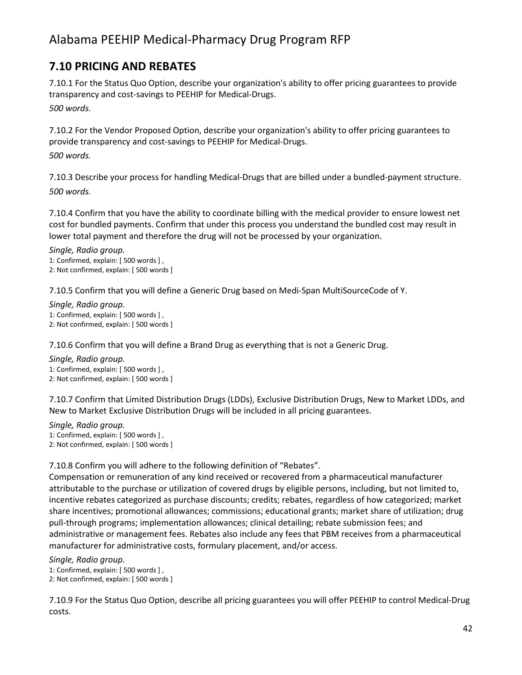## **7.10 PRICING AND REBATES**

7.10.1 For the Status Quo Option, describe your organization's ability to offer pricing guarantees to provide transparency and cost-savings to PEEHIP for Medical-Drugs. *500 words.*

7.10.2 For the Vendor Proposed Option, describe your organization's ability to offer pricing guarantees to provide transparency and cost-savings to PEEHIP for Medical-Drugs. *500 words.*

7.10.3 Describe your process for handling Medical-Drugs that are billed under a bundled-payment structure. *500 words.*

7.10.4 Confirm that you have the ability to coordinate billing with the medical provider to ensure lowest net cost for bundled payments. Confirm that under this process you understand the bundled cost may result in lower total payment and therefore the drug will not be processed by your organization.

*Single, Radio group.* 1: Confirmed, explain: [ 500 words ] , 2: Not confirmed, explain: [ 500 words ]

7.10.5 Confirm that you will define a Generic Drug based on Medi-Span MultiSourceCode of Y.

*Single, Radio group.* 1: Confirmed, explain: [ 500 words ] , 2: Not confirmed, explain: [ 500 words ]

7.10.6 Confirm that you will define a Brand Drug as everything that is not a Generic Drug.

*Single, Radio group.* 1: Confirmed, explain: [ 500 words ] , 2: Not confirmed, explain: [ 500 words ]

7.10.7 Confirm that Limited Distribution Drugs (LDDs), Exclusive Distribution Drugs, New to Market LDDs, and New to Market Exclusive Distribution Drugs will be included in all pricing guarantees.

*Single, Radio group.* 1: Confirmed, explain: [ 500 words ] , 2: Not confirmed, explain: [ 500 words ]

7.10.8 Confirm you will adhere to the following definition of "Rebates".

Compensation or remuneration of any kind received or recovered from a pharmaceutical manufacturer attributable to the purchase or utilization of covered drugs by eligible persons, including, but not limited to, incentive rebates categorized as purchase discounts; credits; rebates, regardless of how categorized; market share incentives; promotional allowances; commissions; educational grants; market share of utilization; drug pull-through programs; implementation allowances; clinical detailing; rebate submission fees; and administrative or management fees. Rebates also include any fees that PBM receives from a pharmaceutical manufacturer for administrative costs, formulary placement, and/or access.

*Single, Radio group.*

1: Confirmed, explain: [ 500 words ] ,

2: Not confirmed, explain: [ 500 words ]

7.10.9 For the Status Quo Option, describe all pricing guarantees you will offer PEEHIP to control Medical-Drug costs.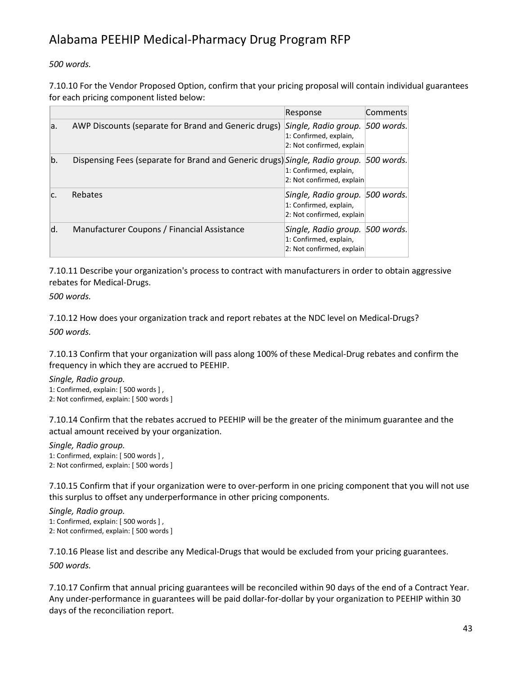*500 words.*

7.10.10 For the Vendor Proposed Option, confirm that your pricing proposal will contain individual guarantees for each pricing component listed below:

|     |                                                                                        | Response                                                                               | Comments |
|-----|----------------------------------------------------------------------------------------|----------------------------------------------------------------------------------------|----------|
| la. | AWP Discounts (separate for Brand and Generic drugs)                                   | Single, Radio group. 500 words.<br>1: Confirmed, explain,<br>2: Not confirmed, explain |          |
| b.  | Dispensing Fees (separate for Brand and Generic drugs) Single, Radio group. 500 words. | 1: Confirmed, explain,<br>2: Not confirmed, explain                                    |          |
| lc. | Rebates                                                                                | Single, Radio group. 500 words.<br>1: Confirmed, explain,<br>2: Not confirmed, explain |          |
| d.  | Manufacturer Coupons / Financial Assistance                                            | Single, Radio group. 500 words.<br>1: Confirmed, explain,<br>2: Not confirmed, explain |          |

7.10.11 Describe your organization's process to contract with manufacturers in order to obtain aggressive rebates for Medical-Drugs.

*500 words.*

7.10.12 How does your organization track and report rebates at the NDC level on Medical-Drugs? *500 words.*

7.10.13 Confirm that your organization will pass along 100% of these Medical-Drug rebates and confirm the frequency in which they are accrued to PEEHIP.

```
Single, Radio group.
1: Confirmed, explain: [ 500 words ] ,
2: Not confirmed, explain: [ 500 words ]
```
7.10.14 Confirm that the rebates accrued to PEEHIP will be the greater of the minimum guarantee and the actual amount received by your organization.

```
Single, Radio group.
1: Confirmed, explain: [ 500 words ] ,
2: Not confirmed, explain: [ 500 words ]
```
7.10.15 Confirm that if your organization were to over-perform in one pricing component that you will not use this surplus to offset any underperformance in other pricing components.

*Single, Radio group.* 1: Confirmed, explain: [ 500 words ] , 2: Not confirmed, explain: [ 500 words ]

7.10.16 Please list and describe any Medical-Drugs that would be excluded from your pricing guarantees. *500 words.*

7.10.17 Confirm that annual pricing guarantees will be reconciled within 90 days of the end of a Contract Year. Any under-performance in guarantees will be paid dollar-for-dollar by your organization to PEEHIP within 30 days of the reconciliation report.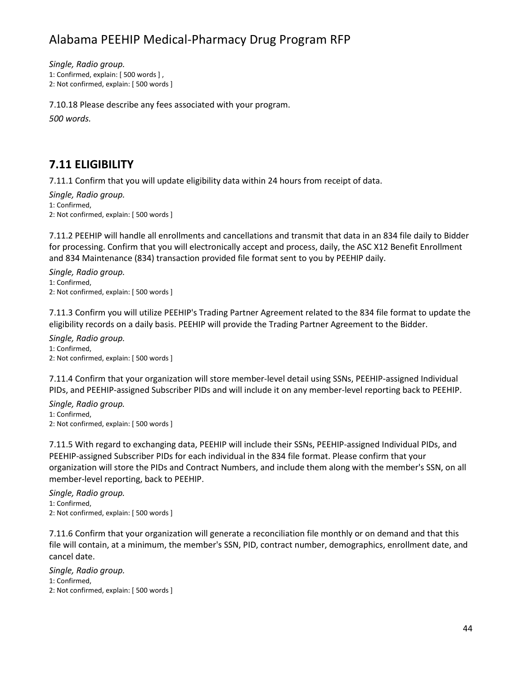*Single, Radio group.*

1: Confirmed, explain: [ 500 words ] ,

2: Not confirmed, explain: [ 500 words ]

7.10.18 Please describe any fees associated with your program.

*500 words.*

#### **7.11 ELIGIBILITY**

7.11.1 Confirm that you will update eligibility data within 24 hours from receipt of data.

*Single, Radio group.* 1: Confirmed, 2: Not confirmed, explain: [ 500 words ]

7.11.2 PEEHIP will handle all enrollments and cancellations and transmit that data in an 834 file daily to Bidder for processing. Confirm that you will electronically accept and process, daily, the ASC X12 Benefit Enrollment and 834 Maintenance (834) transaction provided file format sent to you by PEEHIP daily.

*Single, Radio group.* 1: Confirmed, 2: Not confirmed, explain: [ 500 words ]

7.11.3 Confirm you will utilize PEEHIP's Trading Partner Agreement related to the 834 file format to update the eligibility records on a daily basis. PEEHIP will provide the Trading Partner Agreement to the Bidder.

*Single, Radio group.* 1: Confirmed, 2: Not confirmed, explain: [ 500 words ]

7.11.4 Confirm that your organization will store member-level detail using SSNs, PEEHIP-assigned Individual PIDs, and PEEHIP-assigned Subscriber PIDs and will include it on any member-level reporting back to PEEHIP.

*Single, Radio group.* 1: Confirmed, 2: Not confirmed, explain: [ 500 words ]

7.11.5 With regard to exchanging data, PEEHIP will include their SSNs, PEEHIP-assigned Individual PIDs, and PEEHIP-assigned Subscriber PIDs for each individual in the 834 file format. Please confirm that your organization will store the PIDs and Contract Numbers, and include them along with the member's SSN, on all member-level reporting, back to PEEHIP.

*Single, Radio group.* 1: Confirmed, 2: Not confirmed, explain: [ 500 words ]

7.11.6 Confirm that your organization will generate a reconciliation file monthly or on demand and that this file will contain, at a minimum, the member's SSN, PID, contract number, demographics, enrollment date, and cancel date.

*Single, Radio group.* 1: Confirmed, 2: Not confirmed, explain: [ 500 words ]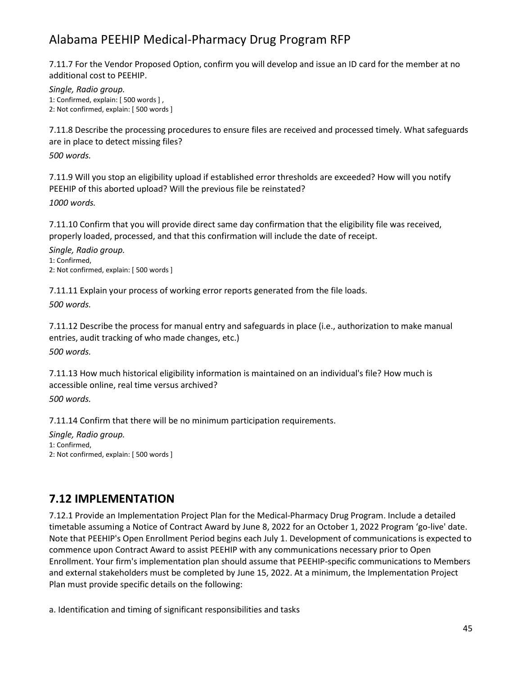7.11.7 For the Vendor Proposed Option, confirm you will develop and issue an ID card for the member at no additional cost to PEEHIP.

*Single, Radio group.* 1: Confirmed, explain: [ 500 words ] , 2: Not confirmed, explain: [ 500 words ]

7.11.8 Describe the processing procedures to ensure files are received and processed timely. What safeguards are in place to detect missing files?

*500 words.*

7.11.9 Will you stop an eligibility upload if established error thresholds are exceeded? How will you notify PEEHIP of this aborted upload? Will the previous file be reinstated?

*1000 words.*

7.11.10 Confirm that you will provide direct same day confirmation that the eligibility file was received, properly loaded, processed, and that this confirmation will include the date of receipt.

*Single, Radio group.* 1: Confirmed, 2: Not confirmed, explain: [ 500 words ]

7.11.11 Explain your process of working error reports generated from the file loads.

*500 words.*

7.11.12 Describe the process for manual entry and safeguards in place (i.e., authorization to make manual entries, audit tracking of who made changes, etc.)

*500 words.*

7.11.13 How much historical eligibility information is maintained on an individual's file? How much is accessible online, real time versus archived?

*500 words.*

7.11.14 Confirm that there will be no minimum participation requirements.

*Single, Radio group.* 1: Confirmed, 2: Not confirmed, explain: [ 500 words ]

### **7.12 IMPLEMENTATION**

7.12.1 Provide an Implementation Project Plan for the Medical-Pharmacy Drug Program. Include a detailed timetable assuming a Notice of Contract Award by June 8, 2022 for an October 1, 2022 Program 'go-live' date. Note that PEEHIP's Open Enrollment Period begins each July 1. Development of communications is expected to commence upon Contract Award to assist PEEHIP with any communications necessary prior to Open Enrollment. Your firm's implementation plan should assume that PEEHIP-specific communications to Members and external stakeholders must be completed by June 15, 2022. At a minimum, the Implementation Project Plan must provide specific details on the following:

a. Identification and timing of significant responsibilities and tasks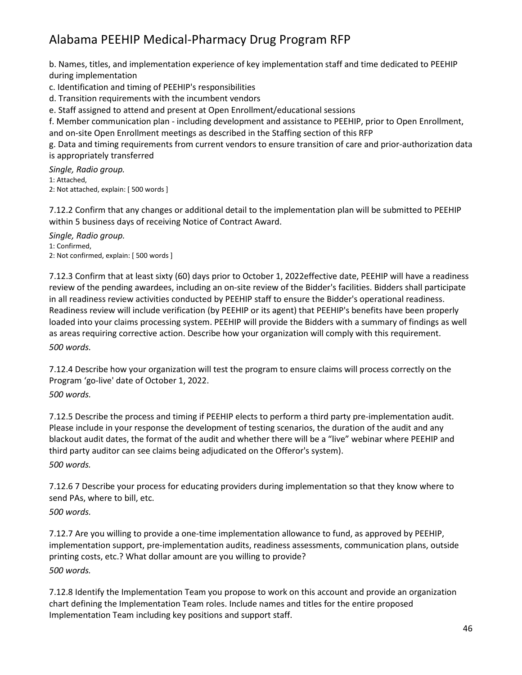b. Names, titles, and implementation experience of key implementation staff and time dedicated to PEEHIP during implementation

c. Identification and timing of PEEHIP's responsibilities

d. Transition requirements with the incumbent vendors

e. Staff assigned to attend and present at Open Enrollment/educational sessions

f. Member communication plan - including development and assistance to PEEHIP, prior to Open Enrollment, and on-site Open Enrollment meetings as described in the Staffing section of this RFP

g. Data and timing requirements from current vendors to ensure transition of care and prior-authorization data is appropriately transferred

*Single, Radio group.* 1: Attached, 2: Not attached, explain: [ 500 words ]

7.12.2 Confirm that any changes or additional detail to the implementation plan will be submitted to PEEHIP within 5 business days of receiving Notice of Contract Award.

*Single, Radio group.* 1: Confirmed, 2: Not confirmed, explain: [ 500 words ]

7.12.3 Confirm that at least sixty (60) days prior to October 1, 2022effective date, PEEHIP will have a readiness review of the pending awardees, including an on-site review of the Bidder's facilities. Bidders shall participate in all readiness review activities conducted by PEEHIP staff to ensure the Bidder's operational readiness. Readiness review will include verification (by PEEHIP or its agent) that PEEHIP's benefits have been properly loaded into your claims processing system. PEEHIP will provide the Bidders with a summary of findings as well as areas requiring corrective action. Describe how your organization will comply with this requirement. *500 words.*

7.12.4 Describe how your organization will test the program to ensure claims will process correctly on the Program 'go-live' date of October 1, 2022.

*500 words.*

7.12.5 Describe the process and timing if PEEHIP elects to perform a third party pre-implementation audit. Please include in your response the development of testing scenarios, the duration of the audit and any blackout audit dates, the format of the audit and whether there will be a "live" webinar where PEEHIP and third party auditor can see claims being adjudicated on the Offeror's system). *500 words.*

7.12.6 7 Describe your process for educating providers during implementation so that they know where to send PAs, where to bill, etc.

*500 words.*

7.12.7 Are you willing to provide a one-time implementation allowance to fund, as approved by PEEHIP, implementation support, pre-implementation audits, readiness assessments, communication plans, outside printing costs, etc.? What dollar amount are you willing to provide? *500 words.*

7.12.8 Identify the Implementation Team you propose to work on this account and provide an organization chart defining the Implementation Team roles. Include names and titles for the entire proposed Implementation Team including key positions and support staff.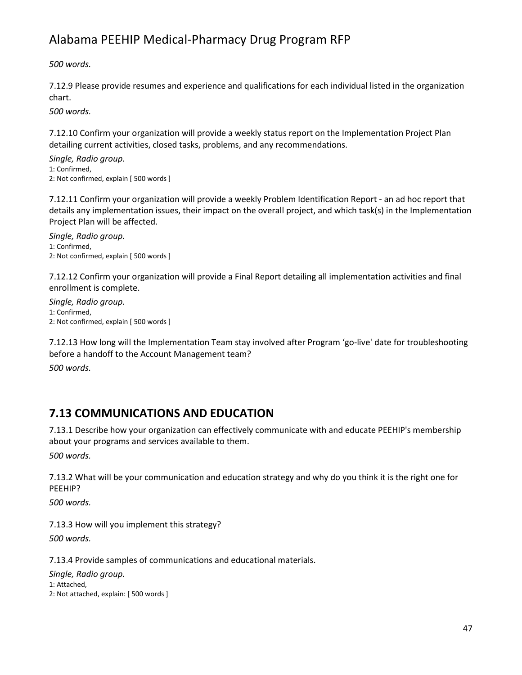*500 words.*

7.12.9 Please provide resumes and experience and qualifications for each individual listed in the organization chart.

*500 words.*

7.12.10 Confirm your organization will provide a weekly status report on the Implementation Project Plan detailing current activities, closed tasks, problems, and any recommendations.

*Single, Radio group.* 1: Confirmed, 2: Not confirmed, explain [ 500 words ]

7.12.11 Confirm your organization will provide a weekly Problem Identification Report - an ad hoc report that details any implementation issues, their impact on the overall project, and which task(s) in the Implementation Project Plan will be affected.

*Single, Radio group.* 1: Confirmed, 2: Not confirmed, explain [ 500 words ]

7.12.12 Confirm your organization will provide a Final Report detailing all implementation activities and final enrollment is complete.

*Single, Radio group.* 1: Confirmed, 2: Not confirmed, explain [ 500 words ]

7.12.13 How long will the Implementation Team stay involved after Program 'go-live' date for troubleshooting before a handoff to the Account Management team?

*500 words.*

## **7.13 COMMUNICATIONS AND EDUCATION**

7.13.1 Describe how your organization can effectively communicate with and educate PEEHIP's membership about your programs and services available to them.

*500 words.*

7.13.2 What will be your communication and education strategy and why do you think it is the right one for PEEHIP?

*500 words.*

7.13.3 How will you implement this strategy?

*500 words.*

7.13.4 Provide samples of communications and educational materials.

*Single, Radio group.* 1: Attached, 2: Not attached, explain: [ 500 words ]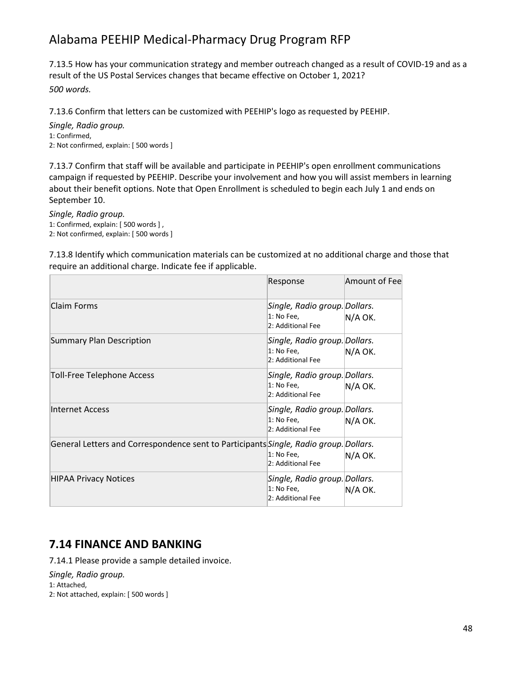7.13.5 How has your communication strategy and member outreach changed as a result of COVID-19 and as a result of the US Postal Services changes that became effective on October 1, 2021? *500 words.*

7.13.6 Confirm that letters can be customized with PEEHIP's logo as requested by PEEHIP.

*Single, Radio group.* 1: Confirmed, 2: Not confirmed, explain: [ 500 words ]

7.13.7 Confirm that staff will be available and participate in PEEHIP's open enrollment communications campaign if requested by PEEHIP. Describe your involvement and how you will assist members in learning about their benefit options. Note that Open Enrollment is scheduled to begin each July 1 and ends on September 10.

*Single, Radio group.* 1: Confirmed, explain: [ 500 words ] , 2: Not confirmed, explain: [ 500 words ]

7.13.8 Identify which communication materials can be customized at no additional charge and those that require an additional charge. Indicate fee if applicable.

|                                                                                       | Response                                                         | Amount of Feel |
|---------------------------------------------------------------------------------------|------------------------------------------------------------------|----------------|
| Claim Forms                                                                           | Single, Radio group. Dollars.<br>1: No Fee,<br>2: Additional Fee | N/A OK.        |
| <b>Summary Plan Description</b>                                                       | Single, Radio group. Dollars.<br>1: No Fee,<br>2: Additional Fee | N/A OK.        |
| <b>Toll-Free Telephone Access</b>                                                     | Single, Radio group. Dollars.<br>1: No Fee,<br>2: Additional Fee | N/A OK.        |
| Internet Access                                                                       | Single, Radio group. Dollars.<br>1: No Fee,<br>2: Additional Fee | N/A OK.        |
| General Letters and Correspondence sent to Participants Single, Radio group. Dollars. | 1: No Fee,<br>2: Additional Fee                                  | N/A OK.        |
| <b>HIPAA Privacy Notices</b>                                                          | Single, Radio group. Dollars.<br>1: No Fee,<br>2: Additional Fee | N/A OK.        |

### **7.14 FINANCE AND BANKING**

7.14.1 Please provide a sample detailed invoice.

*Single, Radio group.*

1: Attached,

2: Not attached, explain: [ 500 words ]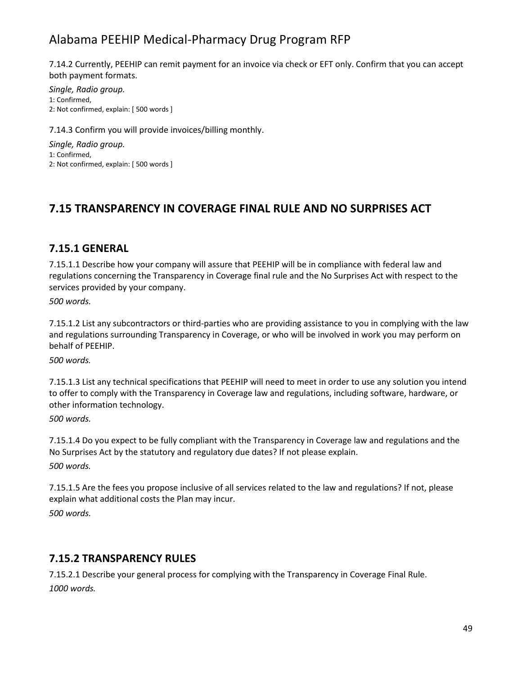7.14.2 Currently, PEEHIP can remit payment for an invoice via check or EFT only. Confirm that you can accept both payment formats.

*Single, Radio group.* 1: Confirmed, 2: Not confirmed, explain: [ 500 words ]

7.14.3 Confirm you will provide invoices/billing monthly.

*Single, Radio group.* 1: Confirmed, 2: Not confirmed, explain: [ 500 words ]

### **7.15 TRANSPARENCY IN COVERAGE FINAL RULE AND NO SURPRISES ACT**

#### **7.15.1 GENERAL**

7.15.1.1 Describe how your company will assure that PEEHIP will be in compliance with federal law and regulations concerning the Transparency in Coverage final rule and the No Surprises Act with respect to the services provided by your company.

*500 words.*

7.15.1.2 List any subcontractors or third-parties who are providing assistance to you in complying with the law and regulations surrounding Transparency in Coverage, or who will be involved in work you may perform on behalf of PEEHIP.

*500 words.*

7.15.1.3 List any technical specifications that PEEHIP will need to meet in order to use any solution you intend to offer to comply with the Transparency in Coverage law and regulations, including software, hardware, or other information technology.

*500 words.*

7.15.1.4 Do you expect to be fully compliant with the Transparency in Coverage law and regulations and the No Surprises Act by the statutory and regulatory due dates? If not please explain. *500 words.*

7.15.1.5 Are the fees you propose inclusive of all services related to the law and regulations? If not, please explain what additional costs the Plan may incur. *500 words.*

#### **7.15.2 TRANSPARENCY RULES**

7.15.2.1 Describe your general process for complying with the Transparency in Coverage Final Rule. *1000 words.*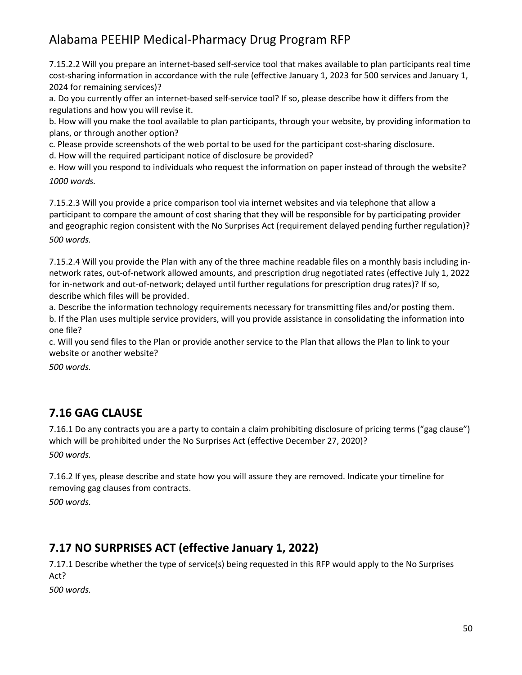7.15.2.2 Will you prepare an internet-based self-service tool that makes available to plan participants real time cost-sharing information in accordance with the rule (effective January 1, 2023 for 500 services and January 1, 2024 for remaining services)?

a. Do you currently offer an internet-based self-service tool? If so, please describe how it differs from the regulations and how you will revise it.

b. How will you make the tool available to plan participants, through your website, by providing information to plans, or through another option?

c. Please provide screenshots of the web portal to be used for the participant cost-sharing disclosure.

d. How will the required participant notice of disclosure be provided?

e. How will you respond to individuals who request the information on paper instead of through the website? *1000 words.*

7.15.2.3 Will you provide a price comparison tool via internet websites and via telephone that allow a participant to compare the amount of cost sharing that they will be responsible for by participating provider and geographic region consistent with the No Surprises Act (requirement delayed pending further regulation)? *500 words.*

7.15.2.4 Will you provide the Plan with any of the three machine readable files on a monthly basis including innetwork rates, out-of-network allowed amounts, and prescription drug negotiated rates (effective July 1, 2022 for in-network and out-of-network; delayed until further regulations for prescription drug rates)? If so, describe which files will be provided.

a. Describe the information technology requirements necessary for transmitting files and/or posting them. b. If the Plan uses multiple service providers, will you provide assistance in consolidating the information into one file?

c. Will you send files to the Plan or provide another service to the Plan that allows the Plan to link to your website or another website?

*500 words.*

## **7.16 GAG CLAUSE**

7.16.1 Do any contracts you are a party to contain a claim prohibiting disclosure of pricing terms ("gag clause") which will be prohibited under the No Surprises Act (effective December 27, 2020)? *500 words.*

7.16.2 If yes, please describe and state how you will assure they are removed. Indicate your timeline for removing gag clauses from contracts.

*500 words.*

## **7.17 NO SURPRISES ACT (effective January 1, 2022)**

7.17.1 Describe whether the type of service(s) being requested in this RFP would apply to the No Surprises Act?

*500 words.*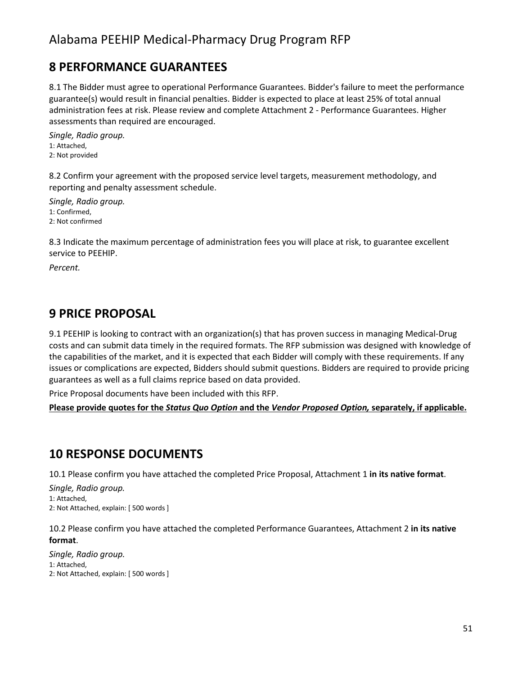## **8 PERFORMANCE GUARANTEES**

8.1 The Bidder must agree to operational Performance Guarantees. Bidder's failure to meet the performance guarantee(s) would result in financial penalties. Bidder is expected to place at least 25% of total annual administration fees at risk. Please review and complete Attachment 2 - Performance Guarantees. Higher assessments than required are encouraged.

*Single, Radio group.* 1: Attached, 2: Not provided

8.2 Confirm your agreement with the proposed service level targets, measurement methodology, and reporting and penalty assessment schedule.

*Single, Radio group.* 1: Confirmed, 2: Not confirmed

8.3 Indicate the maximum percentage of administration fees you will place at risk, to guarantee excellent service to PEEHIP.

*Percent.*

## **9 PRICE PROPOSAL**

9.1 PEEHIP is looking to contract with an organization(s) that has proven success in managing Medical-Drug costs and can submit data timely in the required formats. The RFP submission was designed with knowledge of the capabilities of the market, and it is expected that each Bidder will comply with these requirements. If any issues or complications are expected, Bidders should submit questions. Bidders are required to provide pricing guarantees as well as a full claims reprice based on data provided.

Price Proposal documents have been included with this RFP.

**Please provide quotes for the** *Status Quo Option* **and the** *Vendor Proposed Option,* **separately, if applicable.**

## **10 RESPONSE DOCUMENTS**

10.1 Please confirm you have attached the completed Price Proposal, Attachment 1 **in its native format**.

*Single, Radio group.* 1: Attached, 2: Not Attached, explain: [ 500 words ]

10.2 Please confirm you have attached the completed Performance Guarantees, Attachment 2 **in its native format**.

*Single, Radio group.* 1: Attached, 2: Not Attached, explain: [ 500 words ]